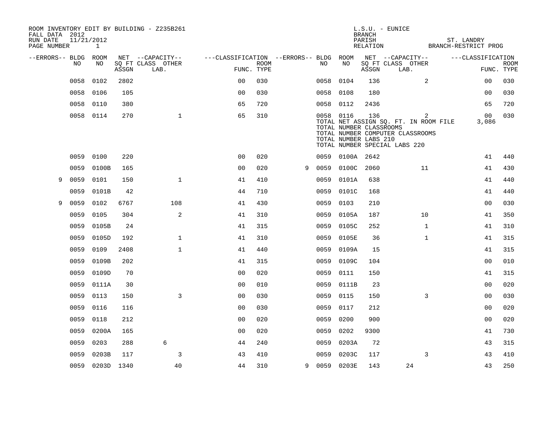| FALL DATA 2012          |            |                 |       | ROOM INVENTORY EDIT BY BUILDING - Z235B261 |                                        |             |   |           |                                                               | <b>BRANCH</b>      | $L.S.U. - EUNICE$                                                                                               |                   |             |
|-------------------------|------------|-----------------|-------|--------------------------------------------|----------------------------------------|-------------|---|-----------|---------------------------------------------------------------|--------------------|-----------------------------------------------------------------------------------------------------------------|-------------------|-------------|
| RUN DATE<br>PAGE NUMBER | 11/21/2012 | $\mathbf{1}$    |       |                                            |                                        |             |   |           |                                                               | PARISH<br>RELATION | BRANCH-RESTRICT PROG                                                                                            | ST. LANDRY        |             |
| --ERRORS-- BLDG ROOM    | NO         | NO              |       | NET --CAPACITY--                           | ---CLASSIFICATION --ERRORS-- BLDG ROOM | <b>ROOM</b> |   | NO.       | NO                                                            |                    | NET --CAPACITY--                                                                                                | ---CLASSIFICATION |             |
|                         |            |                 | ASSGN | SQ FT CLASS OTHER<br>LAB.                  | FUNC. TYPE                             |             |   |           |                                                               | ASSGN              | SQ FT CLASS OTHER<br>LAB.                                                                                       | FUNC. TYPE        | <b>ROOM</b> |
|                         | 0058       | 0102            | 2802  |                                            | 0 <sup>0</sup>                         | 030         |   | 0058 0104 |                                                               | 136                | 2                                                                                                               | 0 <sub>0</sub>    | 030         |
|                         | 0058       | 0106            | 105   |                                            | 0 <sub>0</sub>                         | 030         |   | 0058      | 0108                                                          | 180                |                                                                                                                 | 0 <sub>0</sub>    | 030         |
|                         | 0058       | 0110            | 380   |                                            | 65                                     | 720         |   |           | 0058 0112                                                     | 2436               |                                                                                                                 | 65                | 720         |
|                         | 0058 0114  |                 | 270   | $\mathbf{1}$                               | 65                                     | 310         |   |           | 0058 0116<br>TOTAL NUMBER CLASSROOMS<br>TOTAL NUMBER LABS 210 | 136                | 2<br>TOTAL NET ASSIGN SQ. FT. IN ROOM FILE<br>TOTAL NUMBER COMPUTER CLASSROOMS<br>TOTAL NUMBER SPECIAL LABS 220 | 00<br>3,086       | 030         |
|                         | 0059       | 0100            | 220   |                                            | 0 <sup>0</sup>                         | 020         |   |           | 0059 0100A 2642                                               |                    |                                                                                                                 | 41                | 440         |
|                         | 0059       | 0100B           | 165   |                                            | 0 <sub>0</sub>                         | 020         | 9 | 0059      | 0100C 2060                                                    |                    | 11                                                                                                              | 41                | 430         |
| 9                       | 0059       | 0101            | 150   | $\mathbf{1}$                               | 41                                     | 410         |   | 0059      | 0101A                                                         | 638                |                                                                                                                 | 41                | 440         |
|                         | 0059       | 0101B           | 42    |                                            | 44                                     | 710         |   | 0059      | 0101C                                                         | 168                |                                                                                                                 | 41                | 440         |
| 9                       | 0059       | 0102            | 6767  | 108                                        | 41                                     | 430         |   | 0059      | 0103                                                          | 210                |                                                                                                                 | 0 <sub>0</sub>    | 030         |
|                         | 0059       | 0105            | 304   | 2                                          | 41                                     | 310         |   | 0059      | 0105A                                                         | 187                | 10                                                                                                              | 41                | 350         |
|                         | 0059       | 0105B           | 24    |                                            | 41                                     | 315         |   | 0059      | 0105C                                                         | 252                | $\mathbf{1}$                                                                                                    | 41                | 310         |
|                         | 0059       | 0105D           | 192   | $\mathbf{1}$                               | 41                                     | 310         |   |           | 0059 0105E                                                    | 36                 | $\mathbf{1}$                                                                                                    | 41                | 315         |
|                         | 0059       | 0109            | 2408  | $\mathbf{1}$                               | 41                                     | 440         |   | 0059      | 0109A                                                         | 15                 |                                                                                                                 | 41                | 315         |
|                         | 0059       | 0109B           | 202   |                                            | 41                                     | 315         |   | 0059      | 0109C                                                         | 104                |                                                                                                                 | 0 <sub>0</sub>    | 010         |
|                         | 0059       | 0109D           | 70    |                                            | 0 <sub>0</sub>                         | 020         |   | 0059      | 0111                                                          | 150                |                                                                                                                 | 41                | 315         |
|                         | 0059       | 0111A           | 30    |                                            | 0 <sub>0</sub>                         | 010         |   |           | 0059 0111B                                                    | 23                 |                                                                                                                 | 00                | 020         |
|                         | 0059       | 0113            | 150   | 3                                          | 00                                     | 030         |   | 0059      | 0115                                                          | 150                | 3                                                                                                               | 0 <sub>0</sub>    | 030         |
|                         | 0059       | 0116            | 116   |                                            | 0 <sub>0</sub>                         | 030         |   | 0059      | 0117                                                          | 212                |                                                                                                                 | 00                | 020         |
|                         | 0059       | 0118            | 212   |                                            | 00                                     | 020         |   | 0059      | 0200                                                          | 900                |                                                                                                                 | 0 <sub>0</sub>    | 020         |
|                         | 0059       | 0200A           | 165   |                                            | 0 <sub>0</sub>                         | 020         |   | 0059      | 0202                                                          | 9300               |                                                                                                                 | 41                | 730         |
|                         | 0059       | 0203            | 288   | 6                                          | 44                                     | 240         |   | 0059      | 0203A                                                         | 72                 |                                                                                                                 | 43                | 315         |
|                         | 0059       | 0203B           | 117   | 3                                          | 43                                     | 410         |   | 0059      | 0203C                                                         | 117                | 3                                                                                                               | 43                | 410         |
|                         |            | 0059 0203D 1340 |       | 40                                         | 44                                     | 310         | 9 |           | 0059 0203E                                                    | 143                | 24                                                                                                              | 43                | 250         |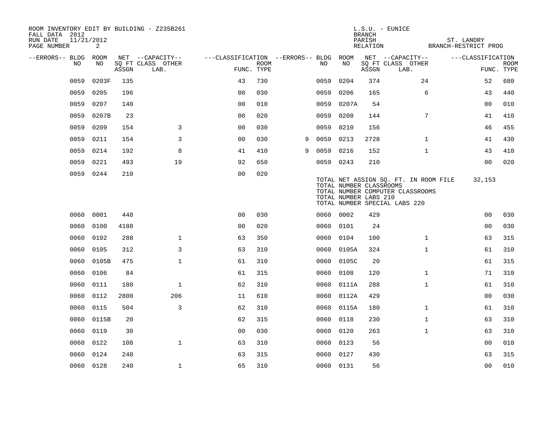| FALL DATA 2012<br>RUN DATE | 11/21/2012 |       |       | ROOM INVENTORY EDIT BY BUILDING - Z235B261    |                                                      |             |   |           |            | <b>BRANCH</b><br>PARISH                          | $L.S.U. - EUNICE$                                                                                          | ST. LANDRY        |                           |
|----------------------------|------------|-------|-------|-----------------------------------------------|------------------------------------------------------|-------------|---|-----------|------------|--------------------------------------------------|------------------------------------------------------------------------------------------------------------|-------------------|---------------------------|
| PAGE NUMBER                |            | 2     |       |                                               |                                                      |             |   |           |            |                                                  | RELATION BRANCH-RESTRICT PROG                                                                              |                   |                           |
| --ERRORS-- BLDG ROOM       | NO         | NO    | ASSGN | NET --CAPACITY--<br>SQ FT CLASS OTHER<br>LAB. | ---CLASSIFICATION --ERRORS-- BLDG ROOM<br>FUNC. TYPE | <b>ROOM</b> |   | NO        | NO         | ASSGN                                            | NET --CAPACITY--<br>SQ FT CLASS OTHER<br>LAB.                                                              | ---CLASSIFICATION | <b>ROOM</b><br>FUNC. TYPE |
|                            | 0059       | 0203F | 135   |                                               | 43                                                   | 730         |   | 0059      | 0204       | 374                                              | 24                                                                                                         | 52                | 680                       |
|                            | 0059       | 0205  | 196   |                                               | 0 <sub>0</sub>                                       | 030         |   | 0059      | 0206       | 165                                              | 6                                                                                                          | 43                | 440                       |
|                            | 0059       | 0207  | 140   |                                               | 00                                                   | 010         |   | 0059      | 0207A      | 54                                               |                                                                                                            | 00                | 010                       |
|                            | 0059       | 0207B | 23    |                                               | 00                                                   | 020         |   | 0059      | 0208       | 144                                              | 7                                                                                                          | 41                | 410                       |
|                            | 0059       | 0209  | 154   | 3                                             | 0 <sub>0</sub>                                       | 030         |   | 0059      | 0210       | 156                                              |                                                                                                            | 46                | 455                       |
|                            | 0059       | 0211  | 154   | 3                                             | 0 <sub>0</sub>                                       | 030         | 9 | 0059      | 0213       | 2728                                             | $\mathbf{1}$                                                                                               | 41                | 430                       |
|                            | 0059       | 0214  | 192   | 8                                             | 41                                                   | 410         | 9 | 0059      | 0216       | 152                                              | $\mathbf{1}$                                                                                               | 43                | 410                       |
|                            | 0059       | 0221  | 493   | 19                                            | 92                                                   | 650         |   | 0059 0243 |            | 210                                              |                                                                                                            | 0 <sub>0</sub>    | 020                       |
|                            | 0059 0244  |       | 210   |                                               | 0 <sub>0</sub>                                       | 020         |   |           |            | TOTAL NUMBER CLASSROOMS<br>TOTAL NUMBER LABS 210 | TOTAL NET ASSIGN SQ. FT. IN ROOM FILE<br>TOTAL NUMBER COMPUTER CLASSROOMS<br>TOTAL NUMBER SPECIAL LABS 220 | 32,153            |                           |
|                            | 0060 0001  |       | 448   |                                               | 0 <sub>0</sub>                                       | 030         |   | 0060 0002 |            | 429                                              |                                                                                                            | 0 <sub>0</sub>    | 030                       |
|                            | 0060       | 0100  | 4180  |                                               | 00                                                   | 020         |   | 0060      | 0101       | 24                                               |                                                                                                            | 0 <sub>0</sub>    | 030                       |
|                            | 0060       | 0102  | 288   | $\mathbf 1$                                   | 63                                                   | 350         |   | 0060 0104 |            | 100                                              | $\mathbf{1}$                                                                                               | 63                | 315                       |
|                            | 0060       | 0105  | 312   | 3                                             | 63                                                   | 310         |   |           | 0060 0105A | 324                                              | $\mathbf{1}$                                                                                               | 61                | 310                       |
|                            | 0060       | 0105B | 475   | $\mathbf 1$                                   | 61                                                   | 310         |   |           | 0060 0105C | 20                                               |                                                                                                            | 61                | 315                       |
|                            | 0060       | 0106  | 84    |                                               | 61                                                   | 315         |   | 0060      | 0108       | 120                                              | $\mathbf{1}$                                                                                               | 71                | 310                       |
|                            | 0060       | 0111  | 180   | $\mathbf{1}$                                  | 62                                                   | 310         |   |           | 0060 0111A | 288                                              | $\mathbf{1}$                                                                                               | 61                | 310                       |
|                            | 0060       | 0112  | 2800  | 206                                           | 11                                                   | 610         |   |           | 0060 0112A | 429                                              |                                                                                                            | 0 <sub>0</sub>    | 030                       |
|                            | 0060       | 0115  | 504   | 3                                             | 62                                                   | 310         |   |           | 0060 0115A | 180                                              | $\mathbf{1}$                                                                                               | 61                | 310                       |
|                            | 0060       | 0115B | 20    |                                               | 62                                                   | 315         |   | 0060      | 0118       | 230                                              | $\mathbf{1}$                                                                                               | 63                | 310                       |
|                            | 0060       | 0119  | 30    |                                               | 0 <sub>0</sub>                                       | 030         |   | 0060 0120 |            | 263                                              | $\mathbf{1}$                                                                                               | 63                | 310                       |
|                            | 0060       | 0122  | 108   | $\mathbf{1}$                                  | 63                                                   | 310         |   | 0060      | 0123       | 56                                               |                                                                                                            | 00                | 010                       |
|                            | 0060       | 0124  | 240   |                                               | 63                                                   | 315         |   | 0060      | 0127       | 430                                              |                                                                                                            | 63                | 315                       |
|                            | 0060 0128  |       | 240   | 1                                             | 65                                                   | 310         |   | 0060 0131 |            | 56                                               |                                                                                                            | 0 <sub>0</sub>    | 010                       |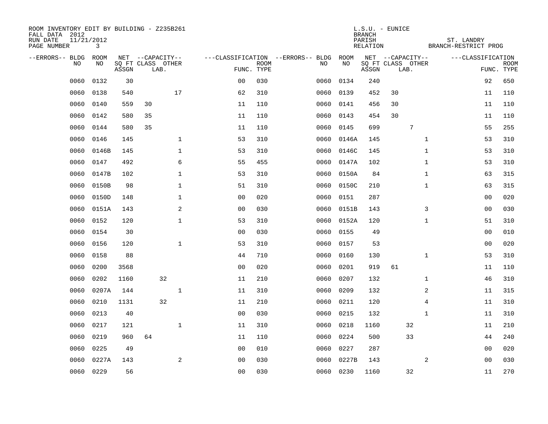| ROOM INVENTORY EDIT BY BUILDING - Z235B261<br>FALL DATA 2012<br>RUN DATE<br>PAGE NUMBER | 11/21/2012<br>3 |       |                           |              |                |                           |                                   |            | <b>BRANCH</b><br>PARISH<br>RELATION | $L.S.U. - EUNICE$         |              | ST. LANDRY<br>BRANCH-RESTRICT PROG |                           |
|-----------------------------------------------------------------------------------------|-----------------|-------|---------------------------|--------------|----------------|---------------------------|-----------------------------------|------------|-------------------------------------|---------------------------|--------------|------------------------------------|---------------------------|
| --ERRORS-- BLDG ROOM                                                                    |                 |       | NET --CAPACITY--          |              |                |                           | ---CLASSIFICATION --ERRORS-- BLDG | ROOM       |                                     | NET --CAPACITY--          |              | ---CLASSIFICATION                  |                           |
| NO                                                                                      | NO              | ASSGN | SQ FT CLASS OTHER<br>LAB. |              |                | <b>ROOM</b><br>FUNC. TYPE | NO                                | NO         | ASSGN                               | SQ FT CLASS OTHER<br>LAB. |              |                                    | <b>ROOM</b><br>FUNC. TYPE |
| 0060                                                                                    | 0132            | 30    |                           |              | 0 <sub>0</sub> | 030                       | 0060                              | 0134       | 240                                 |                           |              | 92                                 | 650                       |
| 0060                                                                                    | 0138            | 540   |                           | 17           | 62             | 310                       | 0060                              | 0139       | 452                                 | 30                        |              | 11                                 | 110                       |
| 0060                                                                                    | 0140            | 559   | 30                        |              | 11             | 110                       | 0060                              | 0141       | 456                                 | 30                        |              | 11                                 | 110                       |
| 0060                                                                                    | 0142            | 580   | 35                        |              | 11             | 110                       | 0060                              | 0143       | 454                                 | 30                        |              | 11                                 | 110                       |
| 0060                                                                                    | 0144            | 580   | 35                        |              | 11             | 110                       | 0060                              | 0145       | 699                                 | $\sqrt{ }$                |              | 55                                 | 255                       |
| 0060                                                                                    | 0146            | 145   |                           | $\mathbf{1}$ | 53             | 310                       | 0060                              | 0146A      | 145                                 |                           | $\mathbf{1}$ | 53                                 | 310                       |
| 0060                                                                                    | 0146B           | 145   |                           | $\mathbf 1$  | 53             | 310                       | 0060                              | 0146C      | 145                                 |                           | $\mathbf{1}$ | 53                                 | 310                       |
| 0060                                                                                    | 0147            | 492   |                           | 6            | 55             | 455                       | 0060                              | 0147A      | 102                                 |                           | $\mathbf{1}$ | 53                                 | 310                       |
| 0060                                                                                    | 0147B           | 102   |                           | $\mathbf 1$  | 53             | 310                       | 0060                              | 0150A      | 84                                  |                           | $\mathbf{1}$ | 63                                 | 315                       |
| 0060                                                                                    | 0150B           | 98    |                           | $\mathbf 1$  | 51             | 310                       |                                   | 0060 0150C | 210                                 |                           | $\mathbf{1}$ | 63                                 | 315                       |
| 0060                                                                                    | 0150D           | 148   |                           | $\mathbf{1}$ | 0 <sub>0</sub> | 020                       | 0060                              | 0151       | 287                                 |                           |              | 0 <sub>0</sub>                     | 020                       |
| 0060                                                                                    | 0151A           | 143   |                           | 2            | 0 <sub>0</sub> | 030                       | 0060                              | 0151B      | 143                                 |                           | 3            | 0 <sub>0</sub>                     | 030                       |
| 0060                                                                                    | 0152            | 120   |                           | $\mathbf{1}$ | 53             | 310                       | 0060                              | 0152A      | 120                                 |                           | $\mathbf{1}$ | 51                                 | 310                       |
| 0060                                                                                    | 0154            | 30    |                           |              | 0 <sub>0</sub> | 030                       |                                   | 0060 0155  | 49                                  |                           |              | 0 <sub>0</sub>                     | 010                       |
| 0060                                                                                    | 0156            | 120   |                           | $\mathbf{1}$ | 53             | 310                       | 0060                              | 0157       | 53                                  |                           |              | 0 <sub>0</sub>                     | 020                       |
| 0060                                                                                    | 0158            | 88    |                           |              | 44             | 710                       | 0060                              | 0160       | 130                                 |                           | $\mathbf{1}$ | 53                                 | 310                       |
| 0060                                                                                    | 0200            | 3568  |                           |              | 0 <sub>0</sub> | 020                       | 0060                              | 0201       | 919                                 | 61                        |              | 11                                 | 110                       |
| 0060                                                                                    | 0202            | 1160  | 32                        |              | 11             | 210                       | 0060                              | 0207       | 132                                 |                           | $\mathbf{1}$ | 46                                 | 310                       |
| 0060                                                                                    | 0207A           | 144   |                           | $\mathbf{1}$ | 11             | 310                       | 0060                              | 0209       | 132                                 |                           | 2            | 11                                 | 315                       |
| 0060                                                                                    | 0210            | 1131  | 32                        |              | 11             | 210                       | 0060                              | 0211       | 120                                 |                           | 4            | 11                                 | 310                       |
| 0060                                                                                    | 0213            | 40    |                           |              | 0 <sub>0</sub> | 030                       | 0060                              | 0215       | 132                                 |                           | $\mathbf{1}$ | 11                                 | 310                       |
| 0060                                                                                    | 0217            | 121   |                           | $\mathbf{1}$ | 11             | 310                       | 0060                              | 0218       | 1160                                | 32                        |              | 11                                 | 210                       |
| 0060                                                                                    | 0219            | 960   | 64                        |              | 11             | 110                       | 0060                              | 0224       | 500                                 | 33                        |              | 44                                 | 240                       |
| 0060                                                                                    | 0225            | 49    |                           |              | 0 <sub>0</sub> | 010                       | 0060                              | 0227       | 287                                 |                           |              | 00                                 | 020                       |
| 0060                                                                                    | 0227A           | 143   |                           | 2            | 0 <sub>0</sub> | 030                       | 0060                              | 0227B      | 143                                 |                           | 2            | 00                                 | 030                       |
|                                                                                         | 0060 0229       | 56    |                           |              | 0 <sub>0</sub> | 030                       |                                   | 0060 0230  | 1160                                | 32                        |              | 11                                 | 270                       |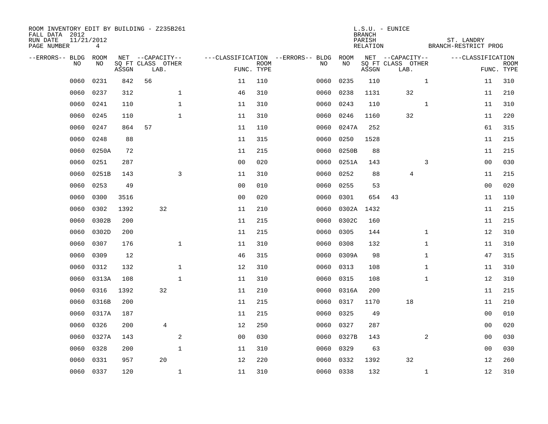| ROOM INVENTORY EDIT BY BUILDING - Z235B261<br>FALL DATA 2012<br>RUN DATE<br>PAGE NUMBER | 11/21/2012<br>4 |       |                           |                |                           |                                   |           | <b>BRANCH</b><br>PARISH<br>RELATION | $L.S.U. - EUNICE$         | ST. LANDRY<br>BRANCH-RESTRICT PROG |                |                           |
|-----------------------------------------------------------------------------------------|-----------------|-------|---------------------------|----------------|---------------------------|-----------------------------------|-----------|-------------------------------------|---------------------------|------------------------------------|----------------|---------------------------|
| --ERRORS-- BLDG                                                                         | ROOM            |       | NET --CAPACITY--          |                |                           | ---CLASSIFICATION --ERRORS-- BLDG | ROOM      |                                     | NET --CAPACITY--          | ---CLASSIFICATION                  |                |                           |
| N <sub>O</sub>                                                                          | NO.             | ASSGN | SO FT CLASS OTHER<br>LAB. |                | <b>ROOM</b><br>FUNC. TYPE | NO.                               | NO        | ASSGN                               | SQ FT CLASS OTHER<br>LAB. |                                    |                | <b>ROOM</b><br>FUNC. TYPE |
| 0060                                                                                    | 0231            | 842   | 56                        | 11             | 110                       | 0060                              | 0235      | 110                                 |                           | $\mathbf{1}$                       | 11             | 310                       |
| 0060                                                                                    | 0237            | 312   | $\mathbf{1}$              | 46             | 310                       | 0060                              | 0238      | 1131                                | 32                        |                                    | 11             | 210                       |
| 0060                                                                                    | 0241            | 110   | $\mathbf{1}$              | 11             | 310                       | 0060                              | 0243      | 110                                 |                           | $\mathbf{1}$                       | 11             | 310                       |
| 0060                                                                                    | 0245            | 110   | $\mathbf{1}$              | 11             | 310                       | 0060                              | 0246      | 1160                                | 32                        |                                    | 11             | 220                       |
| 0060                                                                                    | 0247            | 864   | 57                        | 11             | 110                       | 0060                              | 0247A     | 252                                 |                           |                                    | 61             | 315                       |
| 0060                                                                                    | 0248            | 88    |                           | 11             | 315                       | 0060                              | 0250      | 1528                                |                           |                                    | 11             | 215                       |
| 0060                                                                                    | 0250A           | 72    |                           | 11             | 215                       | 0060                              | 0250B     | 88                                  |                           |                                    | 11             | 215                       |
| 0060                                                                                    | 0251            | 287   |                           | 0 <sub>0</sub> | 020                       | 0060                              | 0251A     | 143                                 |                           | 3                                  | 0 <sub>0</sub> | 030                       |
| 0060                                                                                    | 0251B           | 143   | 3                         | 11             | 310                       | 0060                              | 0252      | 88                                  | 4                         |                                    | 11             | 215                       |
| 0060                                                                                    | 0253            | 49    |                           | 0 <sub>0</sub> | 010                       | 0060                              | 0255      | 53                                  |                           |                                    | 0 <sub>0</sub> | 020                       |
| 0060                                                                                    | 0300            | 3516  |                           | 0 <sub>0</sub> | 020                       | 0060                              | 0301      | 654                                 | 43                        |                                    | 11             | 110                       |
| 0060                                                                                    | 0302            | 1392  | 32                        | 11             | 210                       | 0060                              | 0302A     | 1432                                |                           |                                    | 11             | 215                       |
| 0060                                                                                    | 0302B           | 200   |                           | 11             | 215                       | 0060                              | 0302C     | 160                                 |                           |                                    | 11             | 215                       |
| 0060                                                                                    | 0302D           | 200   |                           | 11             | 215                       | 0060                              | 0305      | 144                                 |                           | $\mathbf{1}$                       | 12             | 310                       |
| 0060                                                                                    | 0307            | 176   | $\mathbf{1}$              | 11             | 310                       | 0060                              | 0308      | 132                                 |                           | $\mathbf{1}$                       | 11             | 310                       |
| 0060                                                                                    | 0309            | 12    |                           | 46             | 315                       | 0060                              | 0309A     | 98                                  |                           | $\mathbf{1}$                       | 47             | 315                       |
| 0060                                                                                    | 0312            | 132   | $\mathbf 1$               | 12             | 310                       | 0060                              | 0313      | 108                                 |                           | $\mathbf{1}$                       | 11             | 310                       |
| 0060                                                                                    | 0313A           | 108   | $\mathbf 1$               | 11             | 310                       | 0060                              | 0315      | 108                                 |                           | $\mathbf{1}$                       | 12             | 310                       |
| 0060                                                                                    | 0316            | 1392  | 32                        | 11             | 210                       | 0060                              | 0316A     | 200                                 |                           |                                    | 11             | 215                       |
| 0060                                                                                    | 0316B           | 200   |                           | 11             | 215                       | 0060                              | 0317      | 1170                                | 18                        |                                    | 11             | 210                       |
| 0060                                                                                    | 0317A           | 187   |                           | 11             | 215                       | 0060                              | 0325      | 49                                  |                           |                                    | 00             | 010                       |
| 0060                                                                                    | 0326            | 200   | 4                         | 12             | 250                       | 0060                              | 0327      | 287                                 |                           |                                    | 00             | 020                       |
| 0060                                                                                    | 0327A           | 143   | 2                         | 0 <sub>0</sub> | 030                       | 0060                              | 0327B     | 143                                 |                           | 2                                  | 00             | 030                       |
| 0060                                                                                    | 0328            | 200   | $\mathbf{1}$              | 11             | 310                       | 0060                              | 0329      | 63                                  |                           |                                    | 00             | 030                       |
| 0060                                                                                    | 0331            | 957   | 20                        | 12             | 220                       | 0060                              | 0332      | 1392                                | 32                        |                                    | 12             | 260                       |
|                                                                                         | 0060 0337       | 120   | $\mathbf 1$               | 11             | 310                       |                                   | 0060 0338 | 132                                 |                           | $\mathbf{1}$                       | 12             | 310                       |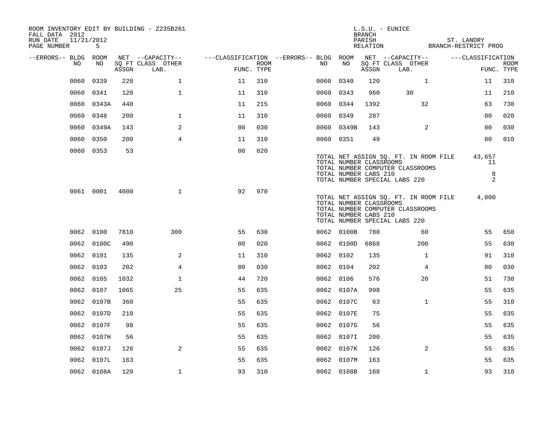| ROOM INVENTORY EDIT BY BUILDING - Z235B261<br>FALL DATA 2012<br>11/21/2012<br>RUN DATE<br>PAGE NUMBER | 5          |       |                           |                                        |      |           |                                                  | BRANCH<br>PARISH | $L.S.U. - EUNICE$<br>RELATION BRANCH-RESTRICT PROG                                                         | ST. LANDRY             |                           |
|-------------------------------------------------------------------------------------------------------|------------|-------|---------------------------|----------------------------------------|------|-----------|--------------------------------------------------|------------------|------------------------------------------------------------------------------------------------------------|------------------------|---------------------------|
| --ERRORS-- BLDG ROOM                                                                                  |            |       | NET --CAPACITY--          | ---CLASSIFICATION --ERRORS-- BLDG ROOM |      |           |                                                  |                  | NET --CAPACITY--                                                                                           | ---CLASSIFICATION      |                           |
| NO                                                                                                    | NO         | ASSGN | SQ FT CLASS OTHER<br>LAB. | FUNC. TYPE                             | ROOM | NO        | NO                                               | ASSGN            | SQ FT CLASS OTHER<br>LAB.                                                                                  |                        | <b>ROOM</b><br>FUNC. TYPE |
| 0060                                                                                                  | 0339       | 228   | $\mathbf 1$               |                                        | 310  | 0060      | 0340                                             | 120              | $\mathbf{1}$                                                                                               |                        | 310                       |
| 0060                                                                                                  | 0341       | 120   | $\mathbf{1}$              | 11<br>11                               | 310  | 0060 0343 |                                                  | 960              | 30                                                                                                         | 11<br>11               | 210                       |
| 0060                                                                                                  | 0343A      | 440   |                           | 11                                     | 215  | 0060 0344 |                                                  | 1392             | 32                                                                                                         | 63                     | 730                       |
|                                                                                                       |            |       |                           |                                        |      |           |                                                  |                  |                                                                                                            |                        |                           |
| 0060                                                                                                  | 0348       | 200   | $\mathbf 1$               | 11                                     | 310  | 0060 0349 |                                                  | 287              |                                                                                                            | 00                     | 020                       |
| 0060                                                                                                  | 0349A      | 143   | 2                         | 0 <sub>0</sub>                         | 030  | 0060      | 0349B                                            | 143              | 2                                                                                                          | 00                     | 030                       |
| 0060                                                                                                  | 0350       | 200   | $\overline{4}$            | 11                                     | 310  | 0060 0351 |                                                  | 49               |                                                                                                            | 00                     | 010                       |
|                                                                                                       | 0060 0353  | 53    |                           | 0 <sub>0</sub>                         | 020  |           | TOTAL NUMBER CLASSROOMS<br>TOTAL NUMBER LABS 210 |                  | TOTAL NET ASSIGN SQ. FT. IN ROOM FILE<br>TOTAL NUMBER COMPUTER CLASSROOMS<br>TOTAL NUMBER SPECIAL LABS 220 | 43,657<br>11<br>8<br>2 |                           |
|                                                                                                       | 0061 0001  | 4000  | $\mathbf{1}$              | 92                                     | 970  |           | TOTAL NUMBER CLASSROOMS<br>TOTAL NUMBER LABS 210 |                  | TOTAL NET ASSIGN SQ. FT. IN ROOM FILE<br>TOTAL NUMBER COMPUTER CLASSROOMS<br>TOTAL NUMBER SPECIAL LABS 220 | 4,000                  |                           |
|                                                                                                       | 0062 0100  | 7810  | 300                       | 55                                     | 630  |           | 0062 0100B                                       | 780              | 60                                                                                                         | 55                     | 650                       |
|                                                                                                       | 0062 0100C | 490   |                           | 0 <sub>0</sub>                         | 020  |           | 0062 0100D                                       | 6868             | 200                                                                                                        | 55                     | 630                       |
|                                                                                                       | 0062 0101  | 135   | 2                         | 11                                     | 310  | 0062 0102 |                                                  | 135              | $\mathbf{1}$                                                                                               | 91                     | 310                       |
|                                                                                                       | 0062 0103  | 202   | 4                         | 0 <sub>0</sub>                         | 030  | 0062 0104 |                                                  | 202              | 4                                                                                                          | 0 <sub>0</sub>         | 030                       |
|                                                                                                       | 0062 0105  | 1032  | $\mathbf{1}$              | 44                                     | 720  | 0062 0106 |                                                  | 576              | 20                                                                                                         | 51                     | 730                       |
|                                                                                                       | 0062 0107  | 1065  | 25                        | 55                                     | 635  |           | 0062 0107A                                       | 998              |                                                                                                            | 55                     | 635                       |
|                                                                                                       | 0062 0107B | 360   |                           | 55                                     | 635  |           | 0062 0107C                                       | 63               | $\mathbf{1}$                                                                                               | 55                     | 310                       |
|                                                                                                       | 0062 0107D | 210   |                           | 55                                     | 635  |           | 0062 0107E                                       | 75               |                                                                                                            | 55                     | 635                       |
| 0062                                                                                                  | 0107F      | 98    |                           | 55                                     | 635  |           | 0062 0107G                                       | 56               |                                                                                                            | 55                     | 635                       |
|                                                                                                       | 0062 0107H | 56    |                           | 55                                     | 635  |           | 0062 0107I                                       | 200              |                                                                                                            | 55                     | 635                       |
| 0062                                                                                                  | 0107J      | 126   | 2                         | 55                                     | 635  |           | 0062 0107K                                       | 126              | 2                                                                                                          | 55                     | 635                       |
| 0062                                                                                                  | 0107L      | 163   |                           | 55                                     | 635  |           | 0062 0107M                                       | 163              |                                                                                                            | 55                     | 635                       |
|                                                                                                       | 0062 0108A | 120   | $\mathbf{1}$              | 93                                     | 310  |           | 0062 0108B                                       | 168              | $\mathbf{1}$                                                                                               | 93                     | 310                       |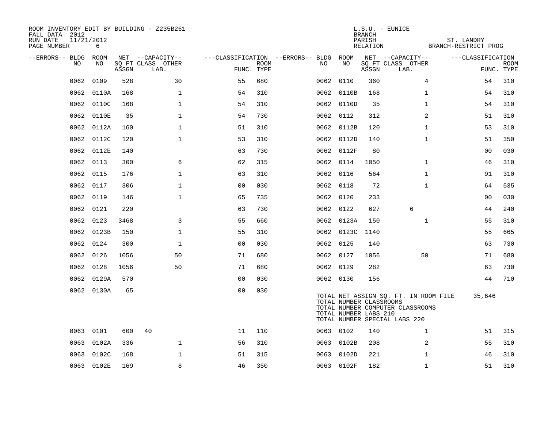| ROOM INVENTORY EDIT BY BUILDING - Z235B261<br>FALL DATA 2012<br>11/21/2012<br>RUN DATE |            |       |                                       |                |      |                                         |                                                  | BRANCH<br>PARISH | $L.S.U. - EUNICE$                                                                                          | ST. LANDRY           |                |                           |
|----------------------------------------------------------------------------------------|------------|-------|---------------------------------------|----------------|------|-----------------------------------------|--------------------------------------------------|------------------|------------------------------------------------------------------------------------------------------------|----------------------|----------------|---------------------------|
| PAGE NUMBER                                                                            | 6          |       |                                       |                |      |                                         |                                                  | RELATION         |                                                                                                            | BRANCH-RESTRICT PROG |                |                           |
| --ERRORS-- BLDG ROOM<br>NO                                                             | NO         |       | NET --CAPACITY--<br>SQ FT CLASS OTHER |                | ROOM | ---CLASSIFICATION --ERRORS-- BLDG<br>NO | ROOM<br>NO                                       |                  | NET --CAPACITY--<br>SQ FT CLASS OTHER                                                                      | ---CLASSIFICATION    |                |                           |
|                                                                                        |            | ASSGN | LAB.                                  | FUNC. TYPE     |      |                                         |                                                  | ASSGN            | LAB.                                                                                                       |                      |                | <b>ROOM</b><br>FUNC. TYPE |
| 0062                                                                                   | 0109       | 528   | 30                                    | 55             | 680  | 0062                                    | 0110                                             | 360              | $\overline{4}$                                                                                             |                      | 54             | 310                       |
| 0062                                                                                   | 0110A      | 168   | $\mathbf{1}$                          | 54             | 310  |                                         | 0062 0110B                                       | 168              | $\mathbf{1}$                                                                                               |                      | 54             | 310                       |
| 0062                                                                                   | 0110C      | 168   | $\mathbf 1$                           | 54             | 310  |                                         | 0062 0110D                                       | 35               | $\mathbf{1}$                                                                                               |                      | 54             | 310                       |
| 0062                                                                                   | 0110E      | 35    | $\mathbf{1}$                          | 54             | 730  |                                         | 0062 0112                                        | 312              | 2                                                                                                          |                      | 51             | 310                       |
| 0062                                                                                   | 0112A      | 160   | $\mathbf 1$                           | 51             | 310  |                                         | 0062 0112B                                       | 120              | $\mathbf{1}$                                                                                               |                      | 53             | 310                       |
| 0062                                                                                   | 0112C      | 120   | $\mathbf{1}$                          | 53             | 310  |                                         | 0062 0112D                                       | 140              | $\mathbf{1}$                                                                                               |                      | 51             | 350                       |
| 0062                                                                                   | 0112E      | 140   |                                       | 63             | 730  |                                         | 0062 0112F                                       | 80               |                                                                                                            |                      | 0 <sub>0</sub> | 030                       |
| 0062                                                                                   | 0113       | 300   | 6                                     | 62             | 315  |                                         | 0062 0114                                        | 1050             | $\mathbf{1}$                                                                                               |                      | 46             | 310                       |
| 0062                                                                                   | 0115       | 176   | $\mathbf 1$                           | 63             | 310  |                                         | 0062 0116                                        | 564              | $\mathbf{1}$                                                                                               |                      | 91             | 310                       |
| 0062                                                                                   | 0117       | 306   | $\mathbf{1}$                          | 0 <sub>0</sub> | 030  |                                         | 0062 0118                                        | 72               | $\mathbf{1}$                                                                                               |                      | 64             | 535                       |
| 0062                                                                                   | 0119       | 146   | $\mathbf 1$                           | 65             | 735  |                                         | 0062 0120                                        | 233              |                                                                                                            |                      | 00             | 030                       |
| 0062                                                                                   | 0121       | 220   |                                       | 63             | 730  |                                         | 0062 0122                                        | 627              | 6                                                                                                          |                      | 44             | 240                       |
| 0062                                                                                   | 0123       | 3468  | 3                                     | 55             | 660  |                                         | 0062 0123A                                       | 150              | $\mathbf{1}$                                                                                               |                      | 55             | 310                       |
| 0062                                                                                   | 0123B      | 150   | $\mathbf 1$                           | 55             | 310  |                                         | 0062 0123C                                       | 1140             |                                                                                                            |                      | 55             | 665                       |
| 0062                                                                                   | 0124       | 300   | $\mathbf{1}$                          | 0 <sub>0</sub> | 030  |                                         | 0062 0125                                        | 140              |                                                                                                            |                      | 63             | 730                       |
| 0062                                                                                   | 0126       | 1056  | 50                                    | 71             | 680  |                                         | 0062 0127                                        | 1056             | 50                                                                                                         |                      | 71             | 680                       |
| 0062                                                                                   | 0128       | 1056  | 50                                    | 71             | 680  |                                         | 0062 0129                                        | 282              |                                                                                                            |                      | 63             | 730                       |
| 0062                                                                                   | 0129A      | 570   |                                       | 0 <sub>0</sub> | 030  |                                         | 0062 0130                                        | 156              |                                                                                                            |                      | 44             | 710                       |
|                                                                                        | 0062 0130A | 65    |                                       | 0 <sub>0</sub> | 030  |                                         | TOTAL NUMBER CLASSROOMS<br>TOTAL NUMBER LABS 210 |                  | TOTAL NET ASSIGN SQ. FT. IN ROOM FILE<br>TOTAL NUMBER COMPUTER CLASSROOMS<br>TOTAL NUMBER SPECIAL LABS 220 |                      | 35,646         |                           |
|                                                                                        | 0063 0101  | 600   | 40                                    | 11             | 110  |                                         | 0063 0102                                        | 140              | $\mathbf{1}$                                                                                               |                      | 51             | 315                       |
|                                                                                        | 0063 0102A | 336   | $\mathbf{1}$                          | 56             | 310  |                                         | 0063 0102B                                       | 208              | 2                                                                                                          |                      | 55             | 310                       |
| 0063                                                                                   | 0102C      | 168   | $\mathbf 1$                           | 51             | 315  |                                         | 0063 0102D                                       | 221              | $\mathbf{1}$                                                                                               |                      | 46             | 310                       |
|                                                                                        | 0063 0102E | 169   | 8                                     | 46             | 350  |                                         | 0063 0102F                                       | 182              | $\mathbf{1}$                                                                                               |                      | 51             | 310                       |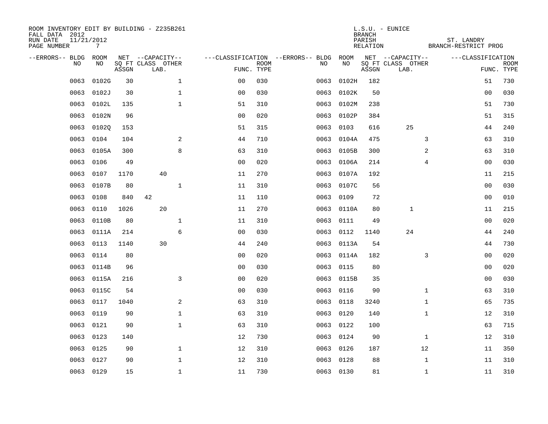| ROOM INVENTORY EDIT BY BUILDING - Z235B261<br>FALL DATA 2012<br>RUN DATE<br>PAGE NUMBER | 11/21/2012<br>$7\overline{ }$ |       |                           |                |                           |                                   |            | <b>BRANCH</b><br>PARISH<br>RELATION | $L.S.U. - EUNICE$         |                | ST. LANDRY<br>BRANCH-RESTRICT PROG |                           |
|-----------------------------------------------------------------------------------------|-------------------------------|-------|---------------------------|----------------|---------------------------|-----------------------------------|------------|-------------------------------------|---------------------------|----------------|------------------------------------|---------------------------|
| --ERRORS-- BLDG                                                                         | ROOM                          |       | NET --CAPACITY--          |                |                           | ---CLASSIFICATION --ERRORS-- BLDG | ROOM       |                                     | NET --CAPACITY--          |                | ---CLASSIFICATION                  |                           |
| NO                                                                                      | NO                            | ASSGN | SQ FT CLASS OTHER<br>LAB. |                | <b>ROOM</b><br>FUNC. TYPE | NO                                | NO         | ASSGN                               | SQ FT CLASS OTHER<br>LAB. |                |                                    | <b>ROOM</b><br>FUNC. TYPE |
| 0063                                                                                    | 0102G                         | 30    | $\mathbf 1$               | 0 <sub>0</sub> | 030                       | 0063                              | 0102H      | 182                                 |                           |                | 51                                 | 730                       |
| 0063                                                                                    | 0102J                         | 30    | $\mathbf 1$               | 0 <sub>0</sub> | 030                       | 0063                              | 0102K      | 50                                  |                           |                | 00                                 | 030                       |
| 0063                                                                                    | 0102L                         | 135   | $\mathbf 1$               | 51             | 310                       | 0063                              | 0102M      | 238                                 |                           |                | 51                                 | 730                       |
| 0063                                                                                    | 0102N                         | 96    |                           | 0 <sub>0</sub> | 020                       | 0063                              | 0102P      | 384                                 |                           |                | 51                                 | 315                       |
| 0063                                                                                    | 01020                         | 153   |                           | 51             | 315                       | 0063                              | 0103       | 616                                 | 25                        |                | 44                                 | 240                       |
| 0063                                                                                    | 0104                          | 104   | 2                         | 44             | 710                       |                                   | 0063 0104A | 475                                 |                           | 3              | 63                                 | 310                       |
| 0063                                                                                    | 0105A                         | 300   | 8                         | 63             | 310                       | 0063                              | 0105B      | 300                                 |                           | $\overline{a}$ | 63                                 | 310                       |
| 0063                                                                                    | 0106                          | 49    |                           | 0 <sub>0</sub> | 020                       | 0063                              | 0106A      | 214                                 |                           | 4              | 0 <sub>0</sub>                     | 030                       |
| 0063                                                                                    | 0107                          | 1170  | 40                        | 11             | 270                       | 0063                              | 0107A      | 192                                 |                           |                | 11                                 | 215                       |
| 0063                                                                                    | 0107B                         | 80    | $\mathbf 1$               | 11             | 310                       |                                   | 0063 0107C | 56                                  |                           |                | 0 <sub>0</sub>                     | 030                       |
| 0063                                                                                    | 0108                          | 840   | 42                        | 11             | 110                       | 0063                              | 0109       | 72                                  |                           |                | 0 <sub>0</sub>                     | 010                       |
| 0063                                                                                    | 0110                          | 1026  | 20                        | 11             | 270                       | 0063                              | 0110A      | 80                                  | $\mathbf{1}$              |                | 11                                 | 215                       |
| 0063                                                                                    | 0110B                         | 80    | $\mathbf 1$               | 11             | 310                       | 0063                              | 0111       | 49                                  |                           |                | 00                                 | 020                       |
| 0063                                                                                    | 0111A                         | 214   | 6                         | 0 <sub>0</sub> | 030                       | 0063                              | 0112       | 1140                                | 24                        |                | 44                                 | 240                       |
| 0063                                                                                    | 0113                          | 1140  | 30                        | 44             | 240                       | 0063                              | 0113A      | 54                                  |                           |                | 44                                 | 730                       |
| 0063                                                                                    | 0114                          | 80    |                           | 0 <sub>0</sub> | 020                       | 0063                              | 0114A      | 182                                 |                           | 3              | 00                                 | 020                       |
| 0063                                                                                    | 0114B                         | 96    |                           | 0 <sub>0</sub> | 030                       | 0063                              | 0115       | 80                                  |                           |                | 00                                 | 020                       |
| 0063                                                                                    | 0115A                         | 216   | 3                         | 0 <sub>0</sub> | 020                       | 0063                              | 0115B      | 35                                  |                           |                | 0 <sub>0</sub>                     | 030                       |
| 0063                                                                                    | 0115C                         | 54    |                           | 0 <sub>0</sub> | 030                       |                                   | 0063 0116  | 90                                  |                           | $\mathbf{1}$   | 63                                 | 310                       |
| 0063                                                                                    | 0117                          | 1040  | 2                         | 63             | 310                       | 0063                              | 0118       | 3240                                |                           | $\mathbf{1}$   | 65                                 | 735                       |
| 0063                                                                                    | 0119                          | 90    | 1                         | 63             | 310                       | 0063                              | 0120       | 140                                 |                           | $\mathbf{1}$   | 12                                 | 310                       |
| 0063                                                                                    | 0121                          | 90    | $\mathbf 1$               | 63             | 310                       | 0063                              | 0122       | 100                                 |                           |                | 63                                 | 715                       |
| 0063                                                                                    | 0123                          | 140   |                           | 12             | 730                       | 0063                              | 0124       | 90                                  |                           | $\mathbf{1}$   | 12                                 | 310                       |
| 0063                                                                                    | 0125                          | 90    | $\mathbf{1}$              | 12             | 310                       | 0063                              | 0126       | 187                                 | 12                        |                | 11                                 | 350                       |
| 0063                                                                                    | 0127                          | 90    | $\mathbf 1$               | 12             | 310                       | 0063                              | 0128       | 88                                  |                           | $\mathbf{1}$   | 11                                 | 310                       |
|                                                                                         | 0063 0129                     | 15    | $\mathbf{1}$              | 11             | 730                       |                                   | 0063 0130  | 81                                  |                           | $\mathbf{1}$   | 11                                 | 310                       |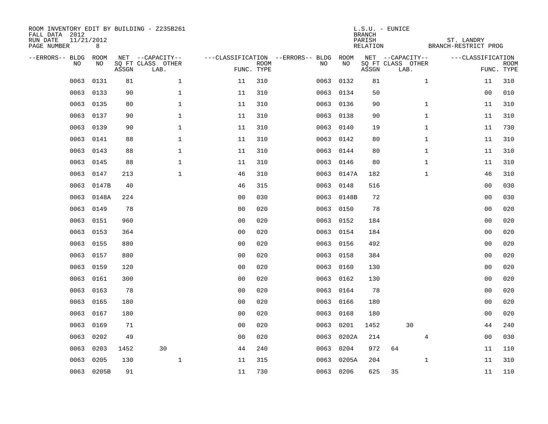| FALL DATA 2012<br>RUN DATE<br>PAGE NUMBER | 11/21/2012<br>8  |       |      | ROOM INVENTORY EDIT BY BUILDING - Z235B261    |                                   |                           |      |            | <b>BRANCH</b><br>PARISH<br>RELATION | L.S.U. - EUNICE                               | ST. LANDRY<br>BRANCH-RESTRICT PROG |                |             |
|-------------------------------------------|------------------|-------|------|-----------------------------------------------|-----------------------------------|---------------------------|------|------------|-------------------------------------|-----------------------------------------------|------------------------------------|----------------|-------------|
| --ERRORS-- BLDG                           | ROOM<br>NO<br>NO | ASSGN |      | NET --CAPACITY--<br>SQ FT CLASS OTHER<br>LAB. | ---CLASSIFICATION --ERRORS-- BLDG | <b>ROOM</b><br>FUNC. TYPE | NO   | ROOM<br>NO | ASSGN                               | NET --CAPACITY--<br>SQ FT CLASS OTHER<br>LAB. | ---CLASSIFICATION                  | FUNC. TYPE     | <b>ROOM</b> |
|                                           | 0063<br>0131     |       | 81   | $\mathbf{1}$                                  | 11                                | 310                       | 0063 | 0132       | 81                                  |                                               | $\mathbf{1}$                       | 11             | 310         |
|                                           | 0063<br>0133     |       | 90   | 1                                             | 11                                | 310                       | 0063 | 0134       | 50                                  |                                               |                                    | 00             | 010         |
|                                           | 0063<br>0135     |       | 80   | $\mathbf 1$                                   | 11                                | 310                       | 0063 | 0136       | 90                                  |                                               | $\mathbf{1}$                       | 11             | 310         |
|                                           | 0063<br>0137     |       | 90   | $\mathbf 1$                                   | 11                                | 310                       |      | 0063 0138  | 90                                  |                                               | $\mathbf{1}$                       | 11             | 310         |
|                                           | 0063<br>0139     |       | 90   | $\mathbf{1}$                                  | 11                                | 310                       | 0063 | 0140       | 19                                  |                                               | $\mathbf{1}$                       | 11             | 730         |
|                                           | 0063<br>0141     |       | 88   | $\mathbf{1}$                                  | 11                                | 310                       |      | 0063 0142  | 80                                  |                                               | $\mathbf{1}$                       | 11             | 310         |
|                                           | 0063<br>0143     |       | 88   | $\mathbf{1}$                                  | 11                                | 310                       | 0063 | 0144       | 80                                  |                                               | $\mathbf{1}$                       | 11             | 310         |
|                                           | 0145<br>0063     |       | 88   | $\mathbf 1$                                   | 11                                | 310                       |      | 0063 0146  | 80                                  |                                               | $\mathbf{1}$                       | 11             | 310         |
|                                           | 0063<br>0147     |       | 213  | $\mathbf{1}$                                  | 46                                | 310                       | 0063 | 0147A      | 182                                 |                                               | $\mathbf{1}$                       | 46             | 310         |
|                                           | 0063<br>0147B    |       | 40   |                                               | 46                                | 315                       |      | 0063 0148  | 516                                 |                                               |                                    | 00             | 030         |
|                                           | 0063<br>0148A    |       | 224  |                                               | 0 <sub>0</sub>                    | 030                       |      | 0063 0148B | 72                                  |                                               |                                    | 00             | 030         |
|                                           | 0063<br>0149     |       | 78   |                                               | 0 <sub>0</sub>                    | 020                       |      | 0063 0150  | 78                                  |                                               |                                    | 00             | 020         |
|                                           | 0151<br>0063     |       | 960  |                                               | 0 <sub>0</sub>                    | 020                       | 0063 | 0152       | 184                                 |                                               |                                    | 0 <sub>0</sub> | 020         |
|                                           | 0063<br>0153     |       | 364  |                                               | 0 <sub>0</sub>                    | 020                       |      | 0063 0154  | 184                                 |                                               |                                    | 00             | 020         |
|                                           | 0063<br>0155     |       | 880  |                                               | 0 <sub>0</sub>                    | 020                       | 0063 | 0156       | 492                                 |                                               |                                    | 00             | 020         |
|                                           | 0063<br>0157     |       | 880  |                                               | 0 <sub>0</sub>                    | 020                       |      | 0063 0158  | 384                                 |                                               |                                    | 00             | 020         |
|                                           | 0063<br>0159     |       | 120  |                                               | 0 <sub>0</sub>                    | 020                       | 0063 | 0160       | 130                                 |                                               |                                    | 00             | 020         |
|                                           | 0063<br>0161     |       | 300  |                                               | 0 <sub>0</sub>                    | 020                       | 0063 | 0162       | 130                                 |                                               |                                    | 00             | 020         |
|                                           | 0063<br>0163     |       | 78   |                                               | 0 <sub>0</sub>                    | 020                       | 0063 | 0164       | 78                                  |                                               |                                    | 00             | 020         |
|                                           | 0063<br>0165     |       | 180  |                                               | 0 <sub>0</sub>                    | 020                       | 0063 | 0166       | 180                                 |                                               |                                    | 00             | 020         |
|                                           | 0167<br>0063     |       | 180  |                                               | 0 <sub>0</sub>                    | 020                       | 0063 | 0168       | 180                                 |                                               |                                    | 00             | 020         |
|                                           | 0063<br>0169     |       | 71   |                                               | 0 <sub>0</sub>                    | 020                       | 0063 | 0201       | 1452                                | 30                                            |                                    | 44             | 240         |
|                                           | 0202<br>0063     |       | 49   |                                               | 0 <sub>0</sub>                    | 020                       | 0063 | 0202A      | 214                                 |                                               | 4                                  | 0 <sub>0</sub> | 030         |
|                                           | 0203<br>0063     |       | 1452 | 30                                            | 44                                | 240                       | 0063 | 0204       | 972                                 | 64                                            |                                    | 11             | 110         |
|                                           | 0205<br>0063     |       | 130  | $\mathbf{1}$                                  | 11                                | 315                       | 0063 | 0205A      | 204                                 |                                               | $\mathbf{1}$                       | 11             | 310         |
|                                           | 0063 0205B       |       | 91   |                                               | 11                                | 730                       |      | 0063 0206  | 625                                 | 35                                            |                                    | 11             | 110         |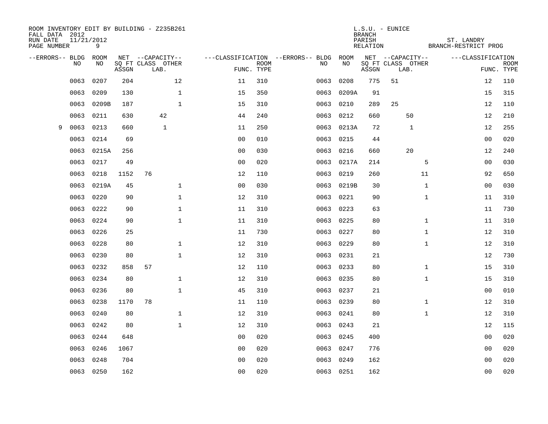| ROOM INVENTORY EDIT BY BUILDING - Z235B261<br>FALL DATA 2012<br>RUN DATE<br>PAGE NUMBER | 11/21/2012<br>9 |       |                           |              |                |                           |                                   |      |            | <b>BRANCH</b><br>PARISH<br>RELATION | $L.S.U. - EUNICE$         | ST. LANDRY<br>BRANCH-RESTRICT PROG |                   |             |
|-----------------------------------------------------------------------------------------|-----------------|-------|---------------------------|--------------|----------------|---------------------------|-----------------------------------|------|------------|-------------------------------------|---------------------------|------------------------------------|-------------------|-------------|
| --ERRORS-- BLDG ROOM                                                                    |                 |       | NET --CAPACITY--          |              |                |                           | ---CLASSIFICATION --ERRORS-- BLDG |      | ROOM       |                                     | NET --CAPACITY--          |                                    | ---CLASSIFICATION |             |
| NO                                                                                      | NO              | ASSGN | SQ FT CLASS OTHER<br>LAB. |              |                | <b>ROOM</b><br>FUNC. TYPE |                                   | NO   | NO         | ASSGN                               | SQ FT CLASS OTHER<br>LAB. |                                    | FUNC. TYPE        | <b>ROOM</b> |
| 0063                                                                                    | 0207            | 204   |                           | 12           | 11             | 310                       |                                   | 0063 | 0208       | 775                                 | 51                        |                                    | 12                | 110         |
| 0063                                                                                    | 0209            | 130   |                           | $\mathbf 1$  | 15             | 350                       |                                   | 0063 | 0209A      | 91                                  |                           |                                    | 15                | 315         |
| 0063                                                                                    | 0209B           | 187   |                           | $\mathbf{1}$ | 15             | 310                       |                                   | 0063 | 0210       | 289                                 | 25                        |                                    | 12                | 110         |
| 0063                                                                                    | 0211            | 630   | 42                        |              | 44             | 240                       |                                   | 0063 | 0212       | 660                                 | 50                        |                                    | 12                | 210         |
| 0063<br>9                                                                               | 0213            | 660   | $\mathbf{1}$              |              | 11             | 250                       |                                   | 0063 | 0213A      | 72                                  | $\mathbf{1}$              |                                    | 12                | 255         |
| 0063                                                                                    | 0214            | 69    |                           |              | 0 <sub>0</sub> | 010                       |                                   | 0063 | 0215       | 44                                  |                           |                                    | 0 <sub>0</sub>    | 020         |
| 0063                                                                                    | 0215A           | 256   |                           |              | 0 <sub>0</sub> | 030                       |                                   | 0063 | 0216       | 660                                 | 20                        |                                    | 12                | 240         |
| 0063                                                                                    | 0217            | 49    |                           |              | 0 <sub>0</sub> | 020                       |                                   | 0063 | 0217A      | 214                                 |                           | 5                                  | 0 <sub>0</sub>    | 030         |
| 0063                                                                                    | 0218            | 1152  | 76                        |              | 12             | 110                       |                                   | 0063 | 0219       | 260                                 | 11                        |                                    | 92                | 650         |
| 0063                                                                                    | 0219A           | 45    |                           | $\mathbf 1$  | 0 <sub>0</sub> | 030                       |                                   |      | 0063 0219B | 30                                  |                           | $\mathbf{1}$                       | 0 <sub>0</sub>    | 030         |
| 0063                                                                                    | 0220            | 90    |                           | $\mathbf 1$  | 12             | 310                       |                                   | 0063 | 0221       | 90                                  |                           | $\mathbf{1}$                       | 11                | 310         |
| 0063                                                                                    | 0222            | 90    |                           | $\mathbf 1$  | 11             | 310                       |                                   |      | 0063 0223  | 63                                  |                           |                                    | 11                | 730         |
| 0063                                                                                    | 0224            | 90    |                           | $\mathbf{1}$ | 11             | 310                       |                                   | 0063 | 0225       | 80                                  |                           | $\mathbf{1}$                       | 11                | 310         |
| 0063                                                                                    | 0226            | 25    |                           |              | 11             | 730                       |                                   | 0063 | 0227       | 80                                  |                           | $\mathbf{1}$                       | 12                | 310         |
| 0063                                                                                    | 0228            | 80    |                           | $\mathbf{1}$ | 12             | 310                       |                                   | 0063 | 0229       | 80                                  |                           | $\mathbf{1}$                       | 12                | 310         |
| 0063                                                                                    | 0230            | 80    |                           | $\mathbf{1}$ | 12             | 310                       |                                   | 0063 | 0231       | 21                                  |                           |                                    | 12                | 730         |
| 0063                                                                                    | 0232            | 858   | 57                        |              | 12             | 110                       |                                   | 0063 | 0233       | 80                                  |                           | $\mathbf{1}$                       | 15                | 310         |
| 0063                                                                                    | 0234            | 80    |                           | $\mathbf 1$  | 12             | 310                       |                                   | 0063 | 0235       | 80                                  |                           | $\mathbf{1}$                       | 15                | 310         |
| 0063                                                                                    | 0236            | 80    |                           | $\mathbf 1$  | 45             | 310                       |                                   |      | 0063 0237  | 21                                  |                           |                                    | 00                | 010         |
| 0063                                                                                    | 0238            | 1170  | 78                        |              | 11             | 110                       |                                   | 0063 | 0239       | 80                                  |                           | $\mathbf{1}$                       | 12                | 310         |
| 0063                                                                                    | 0240            | 80    |                           | $\mathbf{1}$ | 12             | 310                       |                                   |      | 0063 0241  | 80                                  |                           | $\mathbf{1}$                       | 12                | 310         |
| 0063                                                                                    | 0242            | 80    |                           | $\mathbf{1}$ | 12             | 310                       |                                   | 0063 | 0243       | 21                                  |                           |                                    | 12                | 115         |
| 0063                                                                                    | 0244            | 648   |                           |              | 0 <sub>0</sub> | 020                       |                                   |      | 0063 0245  | 400                                 |                           |                                    | 0 <sub>0</sub>    | 020         |
| 0063                                                                                    | 0246            | 1067  |                           |              | 00             | 020                       |                                   | 0063 | 0247       | 776                                 |                           |                                    | 0 <sub>0</sub>    | 020         |
| 0063                                                                                    | 0248            | 704   |                           |              | 0 <sub>0</sub> | 020                       |                                   | 0063 | 0249       | 162                                 |                           |                                    | 0 <sub>0</sub>    | 020         |
|                                                                                         | 0063 0250       | 162   |                           |              | 00             | 020                       |                                   |      | 0063 0251  | 162                                 |                           |                                    | 00                | 020         |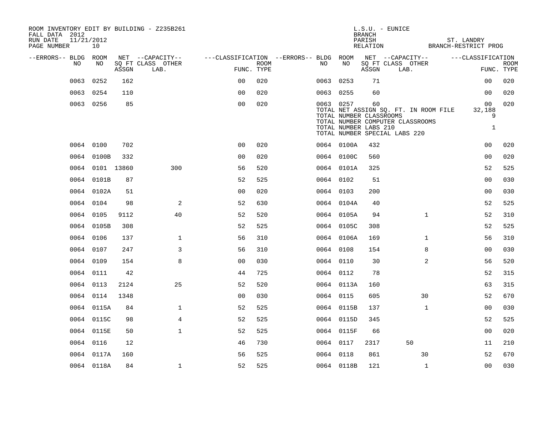| ROOM INVENTORY EDIT BY BUILDING - Z235B261<br>FALL DATA 2012<br>RUN DATE<br>PAGE NUMBER | 11/21/2012<br>10 |       |                           |                                                         |                           |           |            | BRANCH<br>PARISH                                       | $L.S.U. - EUNICE$<br>RELATION BRANCH-RESTRICT PROG                                                         |              | ST. LANDRY                        |                           |
|-----------------------------------------------------------------------------------------|------------------|-------|---------------------------|---------------------------------------------------------|---------------------------|-----------|------------|--------------------------------------------------------|------------------------------------------------------------------------------------------------------------|--------------|-----------------------------------|---------------------------|
| --ERRORS-- BLDG ROOM                                                                    |                  |       | NET --CAPACITY--          | ---CLASSIFICATION --ERRORS-- BLDG ROOM NET --CAPACITY-- |                           |           |            |                                                        |                                                                                                            |              | ---CLASSIFICATION                 |                           |
| NO.                                                                                     | NO.              | ASSGN | SQ FT CLASS OTHER<br>LAB. |                                                         | <b>ROOM</b><br>FUNC. TYPE | NO        | NO         | ASSGN                                                  | SQ FT CLASS OTHER<br>LAB.                                                                                  |              |                                   | <b>ROOM</b><br>FUNC. TYPE |
| 0063                                                                                    | 0252             | 162   |                           | 0 <sub>0</sub>                                          | 020                       | 0063 0253 |            | 71                                                     |                                                                                                            |              | 0 <sub>0</sub>                    | 020                       |
|                                                                                         | 0063 0254        | 110   |                           | 0 <sub>0</sub>                                          | 020                       | 0063 0255 |            | 60                                                     |                                                                                                            |              | 0 <sub>0</sub>                    | 020                       |
|                                                                                         | 0063 0256        | 85    |                           | 0 <sub>0</sub>                                          | 020                       | 0063 0257 |            | 60<br>TOTAL NUMBER CLASSROOMS<br>TOTAL NUMBER LABS 210 | TOTAL NET ASSIGN SQ. FT. IN ROOM FILE<br>TOTAL NUMBER COMPUTER CLASSROOMS<br>TOTAL NUMBER SPECIAL LABS 220 |              | 00<br>32,188<br>9<br>$\mathbf{1}$ | 020                       |
|                                                                                         | 0064 0100        | 702   |                           | 00                                                      | 020                       |           | 0064 0100A | 432                                                    |                                                                                                            |              | 00                                | 020                       |
|                                                                                         | 0064 0100B       | 332   |                           | 0 <sub>0</sub>                                          | 020                       |           | 0064 0100C | 560                                                    |                                                                                                            |              | 00                                | 020                       |
|                                                                                         | 0064 0101 13860  |       | 300                       | 56                                                      | 520                       |           | 0064 0101A | 325                                                    |                                                                                                            |              | 52                                | 525                       |
|                                                                                         | 0064 0101B       | 87    |                           | 52                                                      | 525                       | 0064 0102 |            | 51                                                     |                                                                                                            |              | 0 <sub>0</sub>                    | 030                       |
|                                                                                         | 0064 0102A       | 51    |                           | 0 <sub>0</sub>                                          | 020                       | 0064 0103 |            | 200                                                    |                                                                                                            |              | 0 <sub>0</sub>                    | 030                       |
|                                                                                         | 0064 0104        | 98    | 2                         | 52                                                      | 630                       |           | 0064 0104A | 40                                                     |                                                                                                            |              | 52                                | 525                       |
|                                                                                         | 0064 0105        | 9112  | 40                        | 52                                                      | 520                       |           | 0064 0105A | 94                                                     |                                                                                                            | $\mathbf{1}$ | 52                                | 310                       |
|                                                                                         | 0064 0105B       | 308   |                           | 52                                                      | 525                       |           | 0064 0105C | 308                                                    |                                                                                                            |              | 52                                | 525                       |
|                                                                                         | 0064 0106        | 137   | $\mathbf 1$               | 56                                                      | 310                       |           | 0064 0106A | 169                                                    |                                                                                                            | $\mathbf{1}$ | 56                                | 310                       |
|                                                                                         | 0064 0107        | 247   | 3                         | 56                                                      | 310                       | 0064 0108 |            | 154                                                    |                                                                                                            | 8            | 0 <sub>0</sub>                    | 030                       |
|                                                                                         | 0064 0109        | 154   | 8                         | 00                                                      | 030                       | 0064 0110 |            | 30                                                     |                                                                                                            | 2            | 56                                | 520                       |
|                                                                                         | 0064 0111        | 42    |                           | 44                                                      | 725                       | 0064 0112 |            | 78                                                     |                                                                                                            |              | 52                                | 315                       |
|                                                                                         | 0064 0113        | 2124  | 25                        | 52                                                      | 520                       |           | 0064 0113A | 160                                                    |                                                                                                            |              | 63                                | 315                       |
|                                                                                         | 0064 0114        | 1348  |                           | 0 <sub>0</sub>                                          | 030                       | 0064 0115 |            | 605                                                    |                                                                                                            | 30           | 52                                | 670                       |
|                                                                                         | 0064 0115A       | 84    | $\mathbf{1}$              | 52                                                      | 525                       |           | 0064 0115B | 137                                                    |                                                                                                            | $\mathbf{1}$ | 00                                | 030                       |
|                                                                                         | 0064 0115C       | 98    | $\overline{4}$            | 52                                                      | 525                       |           | 0064 0115D | 345                                                    |                                                                                                            |              | 52                                | 525                       |
|                                                                                         | 0064 0115E       | 50    | $\mathbf{1}$              | 52                                                      | 525                       |           | 0064 0115F | 66                                                     |                                                                                                            |              | 00                                | 020                       |
|                                                                                         | 0064 0116        | 12    |                           | 46                                                      | 730                       | 0064 0117 |            | 2317                                                   | 50                                                                                                         |              | 11                                | 210                       |
|                                                                                         | 0064 0117A       | 160   |                           | 56                                                      | 525                       | 0064 0118 |            | 861                                                    | 30                                                                                                         |              | 52                                | 670                       |
|                                                                                         | 0064 0118A       | 84    | $\mathbf{1}$              | 52                                                      | 525                       |           | 0064 0118B | 121                                                    |                                                                                                            | 1            | 00                                | 030                       |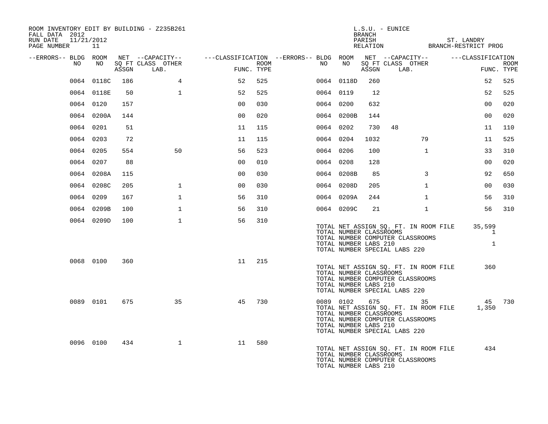| ROOM INVENTORY EDIT BY BUILDING - Z235B261<br>FALL DATA 2012<br>11/21/2012<br>RUN DATE<br>PAGE NUMBER 11 |            |     |                                 |                |      |                                                                                                |                                                  | BRANCH | $L.S.U. - EUNICE$<br>PARISH ST. LANDRY<br>RELATION BRANCH-RESTRICT PROG                                                        |              |                             |                           |
|----------------------------------------------------------------------------------------------------------|------------|-----|---------------------------------|----------------|------|------------------------------------------------------------------------------------------------|--------------------------------------------------|--------|--------------------------------------------------------------------------------------------------------------------------------|--------------|-----------------------------|---------------------------|
| --ERRORS-- BLDG ROOM                                                                                     |            |     |                                 |                |      | NET --CAPACITY--   ---CLASSIFICATION --ERRORS-- BLDG ROOM NET --CAPACITY--   ---CLASSIFICATION |                                                  |        |                                                                                                                                |              |                             |                           |
| NO                                                                                                       | NO         |     | SO FT CLASS OTHER<br>ASSGN LAB. | FUNC. TYPE     | ROOM | NO                                                                                             | NO                                               |        | SQ FT CLASS OTHER<br>ASSGN LAB.                                                                                                |              |                             | <b>ROOM</b><br>FUNC. TYPE |
|                                                                                                          | 0064 0118C | 186 | $4\overline{ }$                 | 52             | 525  |                                                                                                | 0064 0118D                                       | 260    |                                                                                                                                |              | 52                          | 525                       |
|                                                                                                          | 0064 0118E | 50  | $\mathbf{1}$                    | 52             | 525  | 0064 0119                                                                                      |                                                  | 12     |                                                                                                                                |              | 52                          | 525                       |
|                                                                                                          | 0064 0120  | 157 |                                 | 0 <sub>0</sub> | 030  | 0064 0200                                                                                      |                                                  | 632    |                                                                                                                                |              | 00                          | 020                       |
|                                                                                                          | 0064 0200A | 144 |                                 | 0 <sub>0</sub> | 020  |                                                                                                | 0064 0200B                                       | 144    |                                                                                                                                |              | 0 <sub>0</sub>              | 020                       |
|                                                                                                          | 0064 0201  | 51  |                                 | 11             | 115  | 0064 0202                                                                                      |                                                  | 730    | 48                                                                                                                             |              | 11                          | 110                       |
|                                                                                                          | 0064 0203  | 72  |                                 | 11             | 115  | 0064 0204                                                                                      |                                                  | 1032   |                                                                                                                                | 79           | 11                          | 525                       |
|                                                                                                          | 0064 0205  | 554 | 50                              | 56             | 523  | 0064 0206                                                                                      |                                                  | 100    |                                                                                                                                | $\mathbf{1}$ | 33                          | 310                       |
|                                                                                                          | 0064 0207  | 88  |                                 | 0 <sub>0</sub> | 010  | 0064 0208                                                                                      |                                                  | 128    |                                                                                                                                |              | 0 <sub>0</sub>              | 020                       |
|                                                                                                          | 0064 0208A | 115 |                                 | 0 <sub>0</sub> | 030  |                                                                                                | 0064 0208B                                       | 85     |                                                                                                                                | $\mathbf{3}$ | 92                          | 650                       |
|                                                                                                          | 0064 0208C | 205 | $\mathbf{1}$                    | 0 <sub>0</sub> | 030  |                                                                                                | 0064 0208D                                       | 205    |                                                                                                                                | $\mathbf{1}$ | 00                          | 030                       |
|                                                                                                          | 0064 0209  | 167 | $\mathbf{1}$                    | 56             | 310  |                                                                                                | 0064 0209A                                       | 244    |                                                                                                                                | $\mathbf{1}$ | 56                          | 310                       |
|                                                                                                          | 0064 0209B | 100 | $\mathbf{1}$                    | 56             | 310  |                                                                                                | 0064 0209C                                       | 21     |                                                                                                                                | $\mathbf{1}$ | 56                          | 310                       |
|                                                                                                          | 0064 0209D | 100 | $\mathbf{1}$                    | 56             | 310  |                                                                                                | TOTAL NUMBER CLASSROOMS<br>TOTAL NUMBER LABS 210 |        | TOTAL NET ASSIGN SQ. FT. IN ROOM FILE<br>TOTAL NUMBER COMPUTER CLASSROOMS<br>TOTAL NUMBER SPECIAL LABS 220                     |              | 35,599<br>1<br>$\mathbf{1}$ |                           |
|                                                                                                          | 0068 0100  | 360 |                                 | 11 215         |      |                                                                                                | TOTAL NUMBER CLASSROOMS<br>TOTAL NUMBER LABS 210 |        | TOTAL NET ASSIGN SQ. FT. IN ROOM FILE<br>TOTAL NUMBER COMPUTER CLASSROOMS<br>TOTAL NUMBER SPECIAL LABS 220                     |              | 360                         |                           |
|                                                                                                          | 0089 0101  | 675 | 35                              | 45             | 730  |                                                                                                | TOTAL NUMBER CLASSROOMS<br>TOTAL NUMBER LABS 210 |        | 0089 0102 675 35<br>TOTAL NET ASSIGN SO. FT. IN ROOM FILE<br>TOTAL NUMBER COMPUTER CLASSROOMS<br>TOTAL NUMBER SPECIAL LABS 220 |              | 45 730<br>1,350             |                           |
|                                                                                                          | 0096 0100  | 434 | $\mathbf{1}$                    | 11             | 580  |                                                                                                | TOTAL NUMBER CLASSROOMS<br>TOTAL NUMBER LABS 210 |        | TOTAL NET ASSIGN SQ. FT. IN ROOM FILE<br>TOTAL NUMBER COMPUTER CLASSROOMS                                                      |              | 434                         |                           |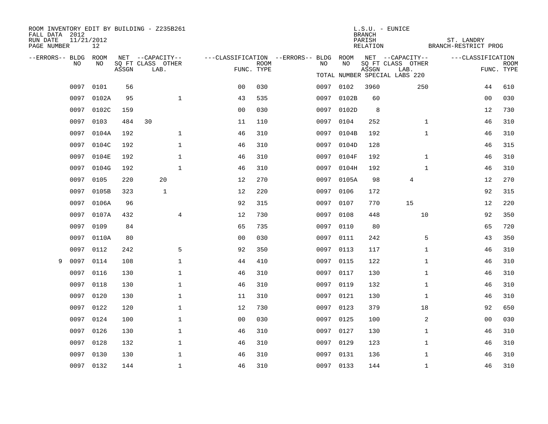| FALL DATA 2012<br>RUN DATE<br>PAGE NUMBER | 11/21/2012<br>12   |       | ROOM INVENTORY EDIT BY BUILDING - Z235B261    |                                        |                           |           |            | <b>BRANCH</b><br>PARISH<br>RELATION | $L.S.U. - EUNICE$                                                              | ST. LANDRY<br>BRANCH-RESTRICT PROG |                           |
|-------------------------------------------|--------------------|-------|-----------------------------------------------|----------------------------------------|---------------------------|-----------|------------|-------------------------------------|--------------------------------------------------------------------------------|------------------------------------|---------------------------|
| --ERRORS-- BLDG                           | ROOM<br>NO.<br>NO. | ASSGN | NET --CAPACITY--<br>SQ FT CLASS OTHER<br>LAB. | ---CLASSIFICATION --ERRORS-- BLDG ROOM | <b>ROOM</b><br>FUNC. TYPE | NO        | NO         | ASSGN                               | NET --CAPACITY--<br>SQ FT CLASS OTHER<br>LAB.<br>TOTAL NUMBER SPECIAL LABS 220 | ---CLASSIFICATION                  | <b>ROOM</b><br>FUNC. TYPE |
|                                           | 0101<br>0097       | 56    |                                               | 0 <sub>0</sub>                         | 030                       | 0097 0102 |            | 3960                                | 250                                                                            | 44                                 | 610                       |
|                                           | 0097<br>0102A      | 95    | $\mathbf 1$                                   | 43                                     | 535                       |           | 0097 0102B | 60                                  |                                                                                | 00                                 | 030                       |
|                                           | 0097<br>0102C      | 159   |                                               | 0 <sub>0</sub>                         | 030                       | 0097      | 0102D      | 8                                   |                                                                                | 12                                 | 730                       |
|                                           | 0097 0103          | 484   | 30                                            | 11                                     | 110                       | 0097 0104 |            | 252                                 | $\mathbf{1}$                                                                   | 46                                 | 310                       |
|                                           | 0097<br>0104A      | 192   | $\mathbf 1$                                   | 46                                     | 310                       | 0097      | 0104B      | 192                                 | $\mathbf{1}$                                                                   | 46                                 | 310                       |
|                                           | 0097<br>0104C      | 192   | $\mathbf 1$                                   | 46                                     | 310                       |           | 0097 0104D | 128                                 |                                                                                | 46                                 | 315                       |
|                                           | 0097<br>0104E      | 192   | $\mathbf 1$                                   | 46                                     | 310                       | 0097      | 0104F      | 192                                 | $\mathbf{1}$                                                                   | 46                                 | 310                       |
|                                           | 0097 0104G         | 192   | $\mathbf{1}$                                  | 46                                     | 310                       |           | 0097 0104H | 192                                 | $\mathbf{1}$                                                                   | 46                                 | 310                       |
|                                           | 0105<br>0097       | 220   | 20                                            | 12                                     | 270                       | 0097      | 0105A      | 98                                  | 4                                                                              | 12                                 | 270                       |
|                                           | 0097 0105B         | 323   | $\mathbf{1}$                                  | 12                                     | 220                       | 0097 0106 |            | 172                                 |                                                                                | 92                                 | 315                       |
|                                           | 0097 0106A         | 96    |                                               | 92                                     | 315                       | 0097      | 0107       | 770                                 | 15                                                                             | 12                                 | 220                       |
|                                           | 0097 0107A         | 432   | 4                                             | 12                                     | 730                       | 0097 0108 |            | 448                                 | 10                                                                             | 92                                 | 350                       |
|                                           | 0097<br>0109       | 84    |                                               | 65                                     | 735                       | 0097      | 0110       | 80                                  |                                                                                | 65                                 | 720                       |
|                                           | 0097<br>0110A      | 80    |                                               | 0 <sub>0</sub>                         | 030                       | 0097 0111 |            | 242                                 | 5                                                                              | 43                                 | 350                       |
|                                           | 0097<br>0112       | 242   | 5                                             | 92                                     | 350                       | 0097      | 0113       | 117                                 | $\mathbf{1}$                                                                   | 46                                 | 310                       |
| 9                                         | 0097<br>0114       | 108   | $\mathbf 1$                                   | 44                                     | 410                       | 0097 0115 |            | 122                                 | $\mathbf{1}$                                                                   | 46                                 | 310                       |
|                                           | 0097<br>0116       | 130   | $\mathbf{1}$                                  | 46                                     | 310                       | 0097      | 0117       | 130                                 | $\mathbf{1}$                                                                   | 46                                 | 310                       |
|                                           | 0097<br>0118       | 130   | $\mathbf 1$                                   | 46                                     | 310                       | 0097 0119 |            | 132                                 | $\mathbf{1}$                                                                   | 46                                 | 310                       |
|                                           | 0097<br>0120       | 130   | $\mathbf 1$                                   | 11                                     | 310                       | 0097      | 0121       | 130                                 | $\mathbf{1}$                                                                   | 46                                 | 310                       |
|                                           | 0097<br>0122       | 120   | $\mathbf 1$                                   | 12                                     | 730                       | 0097 0123 |            | 379                                 | 18                                                                             | 92                                 | 650                       |
|                                           | 0097<br>0124       | 100   | $\mathbf{1}$                                  | 00                                     | 030                       | 0097      | 0125       | 100                                 | 2                                                                              | 0 <sub>0</sub>                     | 030                       |
|                                           | 0097<br>0126       | 130   | $\mathbf 1$                                   | 46                                     | 310                       | 0097 0127 |            | 130                                 | $\mathbf{1}$                                                                   | 46                                 | 310                       |
|                                           | 0097<br>0128       | 132   | $\mathbf 1$                                   | 46                                     | 310                       | 0097      | 0129       | 123                                 | $\mathbf{1}$                                                                   | 46                                 | 310                       |
|                                           | 0097<br>0130       | 130   | $\mathbf 1$                                   | 46                                     | 310                       | 0097 0131 |            | 136                                 | $\mathbf{1}$                                                                   | 46                                 | 310                       |
|                                           | 0097 0132          | 144   | $\mathbf{1}$                                  | 46                                     | 310                       | 0097 0133 |            | 144                                 | $\mathbf{1}$                                                                   | 46                                 | 310                       |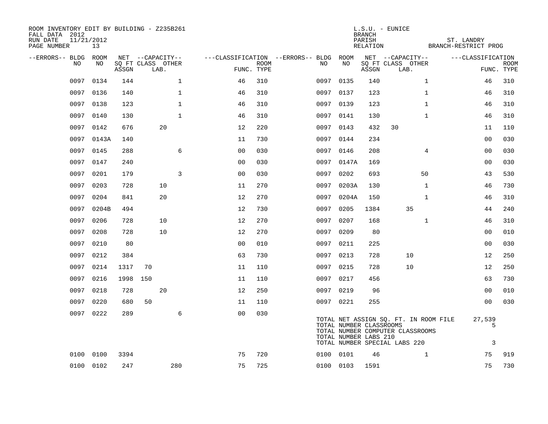| ROOM INVENTORY EDIT BY BUILDING - Z235B261<br>FALL DATA 2012<br>11/21/2012<br>RUN DATE<br>PAGE NUMBER |            |          |                           |              | L.S.U. - EUNICE<br><b>BRANCH</b><br>PARISH<br>RELATION<br>BRANCH-RESTRICT PROG |             |  |           |                                                  |       |                                                                                                            |              |                   |                           |
|-------------------------------------------------------------------------------------------------------|------------|----------|---------------------------|--------------|--------------------------------------------------------------------------------|-------------|--|-----------|--------------------------------------------------|-------|------------------------------------------------------------------------------------------------------------|--------------|-------------------|---------------------------|
| --ERRORS-- BLDG ROOM                                                                                  |            |          | NET --CAPACITY--          |              | ---CLASSIFICATION --ERRORS-- BLDG ROOM                                         |             |  |           |                                                  |       | NET --CAPACITY--                                                                                           |              | ---CLASSIFICATION |                           |
| NO.                                                                                                   | NO         | ASSGN    | SO FT CLASS OTHER<br>LAB. |              | FUNC. TYPE                                                                     | <b>ROOM</b> |  | NO        | NO                                               | ASSGN | SQ FT CLASS OTHER<br>LAB.                                                                                  |              |                   | <b>ROOM</b><br>FUNC. TYPE |
|                                                                                                       | 0097 0134  | 144      |                           | $\mathbf 1$  | 46                                                                             | 310         |  | 0097 0135 |                                                  | 140   |                                                                                                            | $\mathbf{1}$ | 46                | 310                       |
|                                                                                                       | 0097 0136  | 140      |                           | $\mathbf{1}$ | 46                                                                             | 310         |  | 0097 0137 |                                                  | 123   |                                                                                                            | $\mathbf{1}$ | 46                | 310                       |
|                                                                                                       | 0097 0138  | 123      |                           | $\mathbf{1}$ | 46                                                                             | 310         |  | 0097 0139 |                                                  | 123   |                                                                                                            | $\mathbf{1}$ | 46                | 310                       |
|                                                                                                       | 0097 0140  | 130      |                           | $\mathbf{1}$ | 46                                                                             | 310         |  | 0097 0141 |                                                  | 130   |                                                                                                            | $\mathbf{1}$ | 46                | 310                       |
|                                                                                                       | 0097 0142  | 676      |                           | 20           | 12                                                                             | 220         |  | 0097 0143 |                                                  | 432   | 30                                                                                                         |              | 11                | 110                       |
|                                                                                                       | 0097 0143A | 140      |                           |              | 11                                                                             | 730         |  | 0097 0144 |                                                  | 234   |                                                                                                            |              | 0 <sub>0</sub>    | 030                       |
|                                                                                                       | 0097 0145  | 288      |                           | 6            | 00                                                                             | 030         |  | 0097 0146 |                                                  | 208   |                                                                                                            | 4            | 0 <sub>0</sub>    | 030                       |
| 0097                                                                                                  | 0147       | 240      |                           |              | 0 <sub>0</sub>                                                                 | 030         |  | 0097      | 0147A                                            | 169   |                                                                                                            |              | 0 <sub>0</sub>    | 030                       |
| 0097                                                                                                  | 0201       | 179      |                           | 3            | 0 <sub>0</sub>                                                                 | 030         |  | 0097 0202 |                                                  | 693   |                                                                                                            | 50           | 43                | 530                       |
| 0097                                                                                                  | 0203       | 728      |                           | 10           | 11                                                                             | 270         |  | 0097      | 0203A                                            | 130   |                                                                                                            | $\mathbf{1}$ | 46                | 730                       |
| 0097                                                                                                  | 0204       | 841      |                           | 20           | 12                                                                             | 270         |  | 0097      | 0204A                                            | 150   |                                                                                                            | $\mathbf{1}$ | 46                | 310                       |
| 0097                                                                                                  | 0204B      | 494      |                           |              | 12                                                                             | 730         |  | 0097      | 0205                                             | 1384  | 35                                                                                                         |              | 44                | 240                       |
| 0097                                                                                                  | 0206       | 728      |                           | 10           | 12                                                                             | 270         |  | 0097 0207 |                                                  | 168   |                                                                                                            | $\mathbf{1}$ | 46                | 310                       |
| 0097                                                                                                  | 0208       | 728      |                           | 10           | 12                                                                             | 270         |  | 0097      | 0209                                             | 80    |                                                                                                            |              | 00                | 010                       |
| 0097                                                                                                  | 0210       | 80       |                           |              | 0 <sub>0</sub>                                                                 | 010         |  | 0097 0211 |                                                  | 225   |                                                                                                            |              | 0 <sub>0</sub>    | 030                       |
| 0097                                                                                                  | 0212       | 384      |                           |              | 63                                                                             | 730         |  | 0097 0213 |                                                  | 728   | 10                                                                                                         |              | 12                | 250                       |
|                                                                                                       | 0097 0214  | 1317     | 70                        |              | 11                                                                             | 110         |  | 0097 0215 |                                                  | 728   | 10                                                                                                         |              | 12                | 250                       |
| 0097                                                                                                  | 0216       | 1998 150 |                           |              | 11                                                                             | 110         |  | 0097 0217 |                                                  | 456   |                                                                                                            |              | 63                | 730                       |
|                                                                                                       | 0097 0218  | 728      |                           | 20           | 12                                                                             | 250         |  | 0097 0219 |                                                  | 96    |                                                                                                            |              | 0 <sub>0</sub>    | 010                       |
| 0097                                                                                                  | 0220       | 680      | 50                        |              | 11                                                                             | 110         |  | 0097 0221 |                                                  | 255   |                                                                                                            |              | 0 <sub>0</sub>    | 030                       |
|                                                                                                       | 0097 0222  | 289      |                           | 6            | 0 <sub>0</sub>                                                                 | 030         |  |           | TOTAL NUMBER CLASSROOMS<br>TOTAL NUMBER LABS 210 |       | TOTAL NET ASSIGN SQ. FT. IN ROOM FILE<br>TOTAL NUMBER COMPUTER CLASSROOMS<br>TOTAL NUMBER SPECIAL LABS 220 |              | 27,539<br>5<br>3  |                           |
|                                                                                                       | 0100 0100  | 3394     |                           |              | 75                                                                             | 720         |  | 0100 0101 |                                                  | 46    |                                                                                                            | $\mathbf{1}$ | 75                | 919                       |
|                                                                                                       | 0100 0102  | 247      |                           | 280          | 75                                                                             | 725         |  | 0100 0103 |                                                  | 1591  |                                                                                                            |              | 75                | 730                       |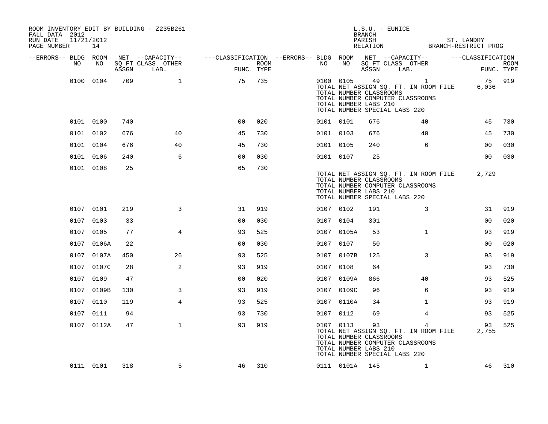| ROOM INVENTORY EDIT BY BUILDING - Z235B261<br>FALL DATA 2012<br>11/21/2012<br>RUN DATE<br>PAGE NUMBER | 14         |       |                           | $L.S.U. - EUNICE$<br>BRANCH<br>PARISH                   |      |  |           |                |                                                        |                                                                                                                                              |  | ST. LANDRY<br>RELATION BRANCH-RESTRICT PROG |                    |  |  |  |
|-------------------------------------------------------------------------------------------------------|------------|-------|---------------------------|---------------------------------------------------------|------|--|-----------|----------------|--------------------------------------------------------|----------------------------------------------------------------------------------------------------------------------------------------------|--|---------------------------------------------|--------------------|--|--|--|
| --ERRORS-- BLDG ROOM                                                                                  |            |       | NET --CAPACITY--          | ---CLASSIFICATION --ERRORS-- BLDG ROOM NET --CAPACITY-- |      |  |           |                |                                                        |                                                                                                                                              |  | ---CLASSIFICATION                           |                    |  |  |  |
| NO                                                                                                    | NO         | ASSGN | SQ FT CLASS OTHER<br>LAB. | FUNC. TYPE                                              | ROOM |  | NO        | NO             | ASSGN                                                  | SQ FT CLASS OTHER<br>LAB.                                                                                                                    |  |                                             | ROOM<br>FUNC. TYPE |  |  |  |
|                                                                                                       | 0100 0104  | 709   | $\mathbf{1}$              | 75                                                      | 735  |  |           |                | TOTAL NUMBER CLASSROOMS<br>TOTAL NUMBER LABS 210       | 0100 0105 49<br>$\overline{1}$<br>TOTAL NET ASSIGN SQ. FT. IN ROOM FILE<br>TOTAL NUMBER COMPUTER CLASSROOMS<br>TOTAL NUMBER SPECIAL LABS 220 |  | 75 919<br>6,036                             |                    |  |  |  |
|                                                                                                       | 0101 0100  | 740   |                           | 0 <sup>0</sup>                                          | 020  |  | 0101 0101 |                | 676                                                    | 40                                                                                                                                           |  | 45                                          | 730                |  |  |  |
|                                                                                                       | 0101 0102  | 676   | 40                        | 45                                                      | 730  |  | 0101 0103 |                | 676                                                    | 40                                                                                                                                           |  | 45                                          | 730                |  |  |  |
|                                                                                                       | 0101 0104  | 676   | 40                        | 45                                                      | 730  |  | 0101 0105 |                | 240                                                    | 6                                                                                                                                            |  | 0 <sub>0</sub>                              | 030                |  |  |  |
|                                                                                                       | 0101 0106  | 240   | 6                         | 00                                                      | 030  |  | 0101 0107 |                | 25                                                     |                                                                                                                                              |  | 00                                          | 030                |  |  |  |
|                                                                                                       | 0101 0108  | 25    |                           | 65                                                      | 730  |  |           |                | TOTAL NUMBER CLASSROOMS<br>TOTAL NUMBER LABS 210       | TOTAL NET ASSIGN SQ. FT. IN ROOM FILE<br>TOTAL NUMBER COMPUTER CLASSROOMS<br>TOTAL NUMBER SPECIAL LABS 220                                   |  | 2,729                                       |                    |  |  |  |
|                                                                                                       | 0107 0101  | 219   | 3                         | 31                                                      | 919  |  | 0107 0102 |                | 191                                                    | 3                                                                                                                                            |  | 31                                          | 919                |  |  |  |
|                                                                                                       | 0107 0103  | 33    |                           | 0 <sub>0</sub>                                          | 030  |  | 0107 0104 |                | 301                                                    |                                                                                                                                              |  | 00                                          | 020                |  |  |  |
|                                                                                                       | 0107 0105  | 77    | $\overline{4}$            | 93                                                      | 525  |  |           | 0107 0105A     | 53                                                     | $\mathbf{1}$                                                                                                                                 |  | 93                                          | 919                |  |  |  |
|                                                                                                       | 0107 0106A | 22    |                           | 00                                                      | 030  |  | 0107 0107 |                | 50                                                     |                                                                                                                                              |  | 00                                          | 020                |  |  |  |
|                                                                                                       | 0107 0107A | 450   | 26                        | 93                                                      | 525  |  |           | 0107 0107B     | 125                                                    | 3                                                                                                                                            |  | 93                                          | 919                |  |  |  |
|                                                                                                       | 0107 0107C | 28    | 2                         | 93                                                      | 919  |  | 0107 0108 |                | 64                                                     |                                                                                                                                              |  | 93                                          | 730                |  |  |  |
|                                                                                                       | 0107 0109  | 47    |                           | 0 <sub>0</sub>                                          | 020  |  |           | 0107 0109A     | 866                                                    | 40                                                                                                                                           |  | 93                                          | 525                |  |  |  |
|                                                                                                       | 0107 0109B | 130   | 3                         | 93                                                      | 919  |  |           | 0107 0109C     | 96                                                     | 6                                                                                                                                            |  | 93                                          | 919                |  |  |  |
|                                                                                                       | 0107 0110  | 119   | $\overline{4}$            | 93                                                      | 525  |  |           | 0107 0110A     | 34                                                     | $\mathbf{1}$                                                                                                                                 |  | 93                                          | 919                |  |  |  |
|                                                                                                       | 0107 0111  | 94    |                           | 93                                                      | 730  |  | 0107 0112 |                | 69                                                     | 4                                                                                                                                            |  | 93                                          | 525                |  |  |  |
|                                                                                                       | 0107 0112A | 47    | $\mathbf{1}$              | 93                                                      | 919  |  | 0107 0113 |                | 93<br>TOTAL NUMBER CLASSROOMS<br>TOTAL NUMBER LABS 210 | 4<br>TOTAL NET ASSIGN SQ. FT. IN ROOM FILE<br>TOTAL NUMBER COMPUTER CLASSROOMS<br>TOTAL NUMBER SPECIAL LABS 220                              |  | 93<br>2,755                                 | 525                |  |  |  |
|                                                                                                       | 0111 0101  | 318   | 5                         | 46                                                      | 310  |  |           | 0111 0101A 145 |                                                        | $\mathbf{1}$                                                                                                                                 |  | 46                                          | 310                |  |  |  |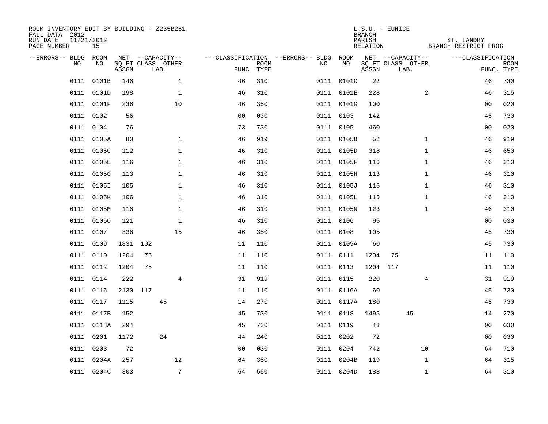| ROOM INVENTORY EDIT BY BUILDING - Z235B261<br>FALL DATA 2012<br>RUN DATE<br>11/21/2012<br>PAGE NUMBER<br>15 |             |       |          |                                               | $L.S.U. - EUNICE$<br><b>BRANCH</b><br>PARISH<br>RELATION |                           |                                              |            |       |                                               |                    |                           |
|-------------------------------------------------------------------------------------------------------------|-------------|-------|----------|-----------------------------------------------|----------------------------------------------------------|---------------------------|----------------------------------------------|------------|-------|-----------------------------------------------|--------------------|---------------------------|
| --ERRORS-- BLDG<br>NO.                                                                                      | ROOM<br>NO. | ASSGN |          | NET --CAPACITY--<br>SQ FT CLASS OTHER<br>LAB. |                                                          | <b>ROOM</b><br>FUNC. TYPE | ---CLASSIFICATION --ERRORS-- BLDG ROOM<br>NO | NO         | ASSGN | NET --CAPACITY--<br>SQ FT CLASS OTHER<br>LAB. | ---CLASSIFICATION  | <b>ROOM</b><br>FUNC. TYPE |
| 0111                                                                                                        | 0101B       | 146   |          | $\mathbf{1}$                                  | 46                                                       | 310                       |                                              | 0111 0101C | 22    |                                               | 46                 | 730                       |
|                                                                                                             | 0111 0101D  | 198   |          | $\mathbf 1$                                   | 46                                                       | 310                       |                                              | 0111 0101E | 228   |                                               | 2<br>46            | 315                       |
|                                                                                                             | 0111 0101F  | 236   |          | 10                                            | 46                                                       | 350                       |                                              | 0111 0101G | 100   |                                               | 00                 | 020                       |
|                                                                                                             | 0111 0102   | 56    |          |                                               | 0 <sub>0</sub>                                           | 030                       |                                              | 0111 0103  | 142   |                                               | 45                 | 730                       |
|                                                                                                             | 0111 0104   | 76    |          |                                               | 73                                                       | 730                       |                                              | 0111 0105  | 460   |                                               | 0 <sub>0</sub>     | 020                       |
|                                                                                                             | 0111 0105A  | 80    |          | $\mathbf 1$                                   | 46                                                       | 919                       |                                              | 0111 0105B | 52    |                                               | $\mathbf{1}$<br>46 | 919                       |
|                                                                                                             | 0111 0105C  | 112   |          | $\mathbf{1}$                                  | 46                                                       | 310                       |                                              | 0111 0105D | 318   |                                               | $\mathbf{1}$<br>46 | 650                       |
|                                                                                                             | 0111 0105E  | 116   |          | $\mathbf 1$                                   | 46                                                       | 310                       |                                              | 0111 0105F | 116   |                                               | $\mathbf{1}$<br>46 | 310                       |
|                                                                                                             | 0111 0105G  | 113   |          | $\mathbf{1}$                                  | 46                                                       | 310                       |                                              | 0111 0105H | 113   |                                               | $\mathbf{1}$<br>46 | 310                       |
|                                                                                                             | 0111 0105I  | 105   |          | $\mathbf 1$                                   | 46                                                       | 310                       |                                              | 0111 0105J | 116   |                                               | $\mathbf{1}$<br>46 | 310                       |
|                                                                                                             | 0111 0105K  | 106   |          | $\mathbf{1}$                                  | 46                                                       | 310                       |                                              | 0111 0105L | 115   |                                               | $\mathbf{1}$<br>46 | 310                       |
|                                                                                                             | 0111 0105M  | 116   |          | $\mathbf 1$                                   | 46                                                       | 310                       |                                              | 0111 0105N | 123   |                                               | $\mathbf{1}$<br>46 | 310                       |
|                                                                                                             | 0111 01050  | 121   |          | $\mathbf{1}$                                  | 46                                                       | 310                       |                                              | 0111 0106  | 96    |                                               | 00                 | 030                       |
| 0111                                                                                                        | 0107        | 336   |          | 15                                            | 46                                                       | 350                       |                                              | 0111 0108  | 105   |                                               | 45                 | 730                       |
| 0111                                                                                                        | 0109        | 1831  | 102      |                                               | 11                                                       | 110                       |                                              | 0111 0109A | 60    |                                               | 45                 | 730                       |
| 0111                                                                                                        | 0110        | 1204  | 75       |                                               | 11                                                       | 110                       |                                              | 0111 0111  | 1204  | 75                                            | 11                 | 110                       |
| 0111                                                                                                        | 0112        | 1204  | 75       |                                               | 11                                                       | 110                       |                                              | 0111 0113  | 1204  | 117                                           | 11                 | 110                       |
|                                                                                                             | 0111 0114   | 222   |          | $\overline{4}$                                | 31                                                       | 919                       |                                              | 0111 0115  | 220   |                                               | 4<br>31            | 919                       |
|                                                                                                             | 0111 0116   |       | 2130 117 |                                               | 11                                                       | 110                       |                                              | 0111 0116A | 60    |                                               | 45                 | 730                       |
|                                                                                                             | 0111 0117   | 1115  |          | 45                                            | 14                                                       | 270                       |                                              | 0111 0117A | 180   |                                               | 45                 | 730                       |
|                                                                                                             | 0111 0117B  | 152   |          |                                               | 45                                                       | 730                       |                                              | 0111 0118  | 1495  | 45                                            | 14                 | 270                       |
|                                                                                                             | 0111 0118A  | 294   |          |                                               | 45                                                       | 730                       |                                              | 0111 0119  | 43    |                                               | 0 <sub>0</sub>     | 030                       |
|                                                                                                             | 0111 0201   | 1172  |          | 24                                            | 44                                                       | 240                       |                                              | 0111 0202  | 72    |                                               | 00                 | 030                       |
|                                                                                                             | 0111 0203   | 72    |          |                                               | 00                                                       | 030                       |                                              | 0111 0204  | 742   | 10                                            | 64                 | 710                       |
|                                                                                                             | 0111 0204A  | 257   |          | 12                                            | 64                                                       | 350                       |                                              | 0111 0204B | 119   |                                               | $\mathbf{1}$<br>64 | 315                       |
|                                                                                                             | 0111 0204C  | 303   |          | $\overline{7}$                                | 64                                                       | 550                       |                                              | 0111 0204D | 188   |                                               | $\mathbf{1}$<br>64 | 310                       |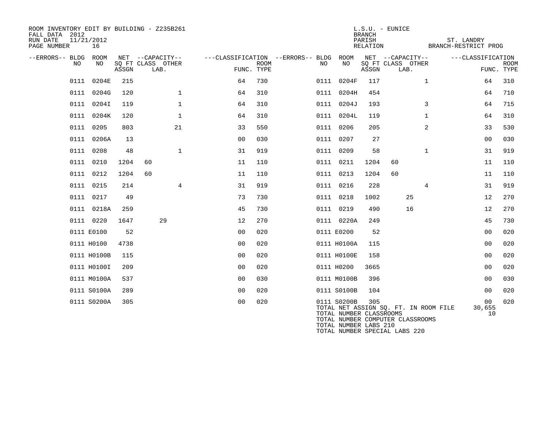| ROOM INVENTORY EDIT BY BUILDING - Z235B261<br>FALL DATA 2012<br>RUN DATE<br>PAGE NUMBER | 11/21/2012<br>16 |       |                                               |                                        |                           |  |     |                                                                 |       | $L.S.U. - EUNICE$<br>RELATION                                     | ST. LANDRY<br>BRANCH-RESTRICT PROG |                                       |                                 |             |  |
|-----------------------------------------------------------------------------------------|------------------|-------|-----------------------------------------------|----------------------------------------|---------------------------|--|-----|-----------------------------------------------------------------|-------|-------------------------------------------------------------------|------------------------------------|---------------------------------------|---------------------------------|-------------|--|
| --ERRORS-- BLDG ROOM<br>NO.                                                             | NO               | ASSGN | NET --CAPACITY--<br>SQ FT CLASS OTHER<br>LAB. | ---CLASSIFICATION --ERRORS-- BLDG ROOM | <b>ROOM</b><br>FUNC. TYPE |  | NO. | NO                                                              | ASSGN | NET --CAPACITY--<br>SQ FT CLASS OTHER<br>LAB.                     |                                    |                                       | ---CLASSIFICATION<br>FUNC. TYPE | <b>ROOM</b> |  |
|                                                                                         | 0111 0204E       | 215   |                                               | 64                                     | 730                       |  |     | 0111 0204F                                                      | 117   |                                                                   | $\mathbf{1}$                       |                                       | 64                              | 310         |  |
|                                                                                         | 0111 0204G       | 120   | $\mathbf{1}$                                  | 64                                     | 310                       |  |     | 0111 0204H                                                      | 454   |                                                                   |                                    |                                       | 64                              | 710         |  |
|                                                                                         | 0111 0204I       | 119   | $\mathbf 1$                                   | 64                                     | 310                       |  |     | 0111 0204J                                                      | 193   |                                                                   | 3                                  |                                       | 64                              | 715         |  |
|                                                                                         | 0111 0204K       | 120   | $\mathbf{1}$                                  | 64                                     | 310                       |  |     | 0111 0204L                                                      | 119   |                                                                   | $\mathbf{1}$                       |                                       | 64                              | 310         |  |
|                                                                                         | 0111 0205        | 803   | 21                                            | 33                                     | 550                       |  |     | 0111 0206                                                       | 205   |                                                                   | $\overline{2}$                     |                                       | 33                              | 530         |  |
|                                                                                         | 0111 0206A       | 13    |                                               | 0 <sub>0</sub>                         | 030                       |  |     | 0111 0207                                                       | 27    |                                                                   |                                    |                                       | 00                              | 030         |  |
|                                                                                         | 0111 0208        | 48    | $\mathbf{1}$                                  | 31                                     | 919                       |  |     | 0111 0209                                                       | 58    |                                                                   | $\mathbf{1}$                       |                                       | 31                              | 919         |  |
|                                                                                         | 0111 0210        | 1204  | 60                                            | 11                                     | 110                       |  |     | 0111 0211                                                       | 1204  | 60                                                                |                                    |                                       | 11                              | 110         |  |
|                                                                                         | 0111 0212        | 1204  | 60                                            | 11                                     | 110                       |  |     | 0111 0213                                                       | 1204  | 60                                                                |                                    |                                       | 11                              | 110         |  |
|                                                                                         | 0111 0215        | 214   | $\overline{4}$                                | 31                                     | 919                       |  |     | 0111 0216                                                       | 228   |                                                                   | $\overline{4}$                     |                                       | 31                              | 919         |  |
|                                                                                         | 0111 0217        | 49    |                                               | 73                                     | 730                       |  |     | 0111 0218                                                       | 1002  |                                                                   | 25                                 |                                       | 12                              | 270         |  |
|                                                                                         | 0111 0218A       | 259   |                                               | 45                                     | 730                       |  |     | 0111 0219                                                       | 490   |                                                                   | 16                                 |                                       | 12                              | 270         |  |
|                                                                                         | 0111 0220        | 1647  | 29                                            | 12                                     | 270                       |  |     | 0111 0220A                                                      | 249   |                                                                   |                                    |                                       | 45                              | 730         |  |
|                                                                                         | 0111 E0100       | 52    |                                               | 0 <sub>0</sub>                         | 020                       |  |     | 0111 E0200                                                      | 52    |                                                                   |                                    |                                       | 0 <sub>0</sub>                  | 020         |  |
|                                                                                         | 0111 H0100       | 4738  |                                               | 0 <sub>0</sub>                         | 020                       |  |     | 0111 H0100A                                                     | 115   |                                                                   |                                    |                                       | 0 <sub>0</sub>                  | 020         |  |
|                                                                                         | 0111 H0100B      | 115   |                                               | 0 <sub>0</sub>                         | 020                       |  |     | 0111 H0100E                                                     | 158   |                                                                   |                                    |                                       | 0 <sub>0</sub>                  | 020         |  |
|                                                                                         | 0111 H0100I      | 209   |                                               | 0 <sub>0</sub>                         | 020                       |  |     | 0111 H0200                                                      | 3665  |                                                                   |                                    |                                       | 00                              | 020         |  |
|                                                                                         | 0111 M0100A      | 537   |                                               | 0 <sub>0</sub>                         | 030                       |  |     | 0111 M0100B                                                     | 396   |                                                                   |                                    |                                       | 00                              | 030         |  |
|                                                                                         | 0111 S0100A      | 289   |                                               | 0 <sub>0</sub>                         | 020                       |  |     | 0111 S0100B                                                     | 104   |                                                                   |                                    |                                       | 0 <sub>0</sub>                  | 020         |  |
|                                                                                         | 0111 S0200A      | 305   |                                               | 0 <sub>0</sub>                         | 020                       |  |     | 0111 S0200B<br>TOTAL NUMBER CLASSROOMS<br>TOTAL NUMBER LABS 210 | 305   | TOTAL NUMBER COMPUTER CLASSROOMS<br>TOTAL NUMBER SPECIAL LABS 220 |                                    | TOTAL NET ASSIGN SQ. FT. IN ROOM FILE | 00<br>30,655<br>10              | 020         |  |